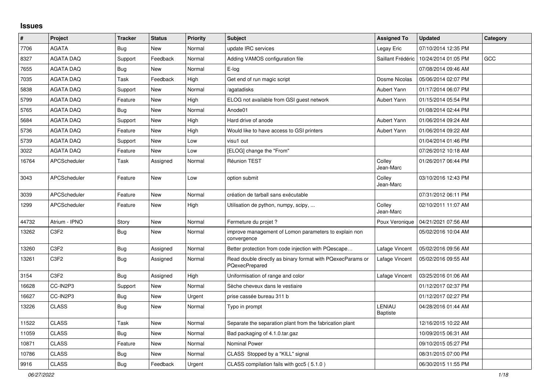## **Issues**

| #     | Project                       | <b>Tracker</b> | <b>Status</b> | <b>Priority</b> | <b>Subject</b>                                                               | <b>Assigned To</b>        | <b>Updated</b>      | Category   |
|-------|-------------------------------|----------------|---------------|-----------------|------------------------------------------------------------------------------|---------------------------|---------------------|------------|
| 7706  | <b>AGATA</b>                  | <b>Bug</b>     | <b>New</b>    | Normal          | update IRC services                                                          | Legay Eric                | 07/10/2014 12:35 PM |            |
| 8327  | <b>AGATA DAQ</b>              | Support        | Feedback      | Normal          | Adding VAMOS configuration file                                              | Saillant Frédéric         | 10/24/2014 01:05 PM | <b>GCC</b> |
| 7655  | <b>AGATA DAQ</b>              | Bug            | <b>New</b>    | Normal          | E-log                                                                        |                           | 07/08/2014 09:46 AM |            |
| 7035  | <b>AGATA DAQ</b>              | Task           | Feedback      | High            | Get end of run magic script                                                  | Dosme Nicolas             | 05/06/2014 02:07 PM |            |
| 5838  | <b>AGATA DAQ</b>              | Support        | New           | Normal          | /agatadisks                                                                  | Aubert Yann               | 01/17/2014 06:07 PM |            |
| 5799  | <b>AGATA DAQ</b>              | Feature        | <b>New</b>    | High            | ELOG not available from GSI guest network                                    | Aubert Yann               | 01/15/2014 05:54 PM |            |
| 5765  | <b>AGATA DAQ</b>              | Bug            | <b>New</b>    | Normal          | Anode01                                                                      |                           | 01/08/2014 02:44 PM |            |
| 5684  | <b>AGATA DAQ</b>              | Support        | <b>New</b>    | High            | Hard drive of anode                                                          | Aubert Yann               | 01/06/2014 09:24 AM |            |
| 5736  | <b>AGATA DAQ</b>              | Feature        | <b>New</b>    | High            | Would like to have access to GSI printers                                    | <b>Aubert Yann</b>        | 01/06/2014 09:22 AM |            |
| 5739  | <b>AGATA DAQ</b>              | Support        | <b>New</b>    | Low             | visu1 out                                                                    |                           | 01/04/2014 01:46 PM |            |
| 3022  | <b>AGATA DAQ</b>              | Feature        | <b>New</b>    | Low             | [ELOG] change the "From"                                                     |                           | 07/26/2012 10:18 AM |            |
| 16764 | APCScheduler                  | Task           | Assigned      | Normal          | Réunion TEST                                                                 | Colley<br>Jean-Marc       | 01/26/2017 06:44 PM |            |
| 3043  | APCScheduler                  | Feature        | New           | Low             | option submit                                                                | Colley<br>Jean-Marc       | 03/10/2016 12:43 PM |            |
| 3039  | APCScheduler                  | Feature        | <b>New</b>    | Normal          | création de tarball sans exécutable                                          |                           | 07/31/2012 06:11 PM |            |
| 1299  | APCScheduler                  | Feature        | New           | High            | Utilisation de python, numpy, scipy,                                         | Colley<br>Jean-Marc       | 02/10/2011 11:07 AM |            |
| 44732 | Atrium - IPNO                 | Story          | <b>New</b>    | Normal          | Fermeture du projet ?                                                        | Poux Veronique            | 04/21/2021 07:56 AM |            |
| 13262 | C3F2                          | <b>Bug</b>     | New           | Normal          | mprove management of Lomon parameters to explain non<br>convergence          |                           | 05/02/2016 10:04 AM |            |
| 13260 | C <sub>3F2</sub>              | Bug            | Assigned      | Normal          | Better protection from code injection with PQescape                          | Lafage Vincent            | 05/02/2016 09:56 AM |            |
| 13261 | C3F2                          | <b>Bug</b>     | Assigned      | Normal          | Read double directly as binary format with PQexecParams or<br>PQexecPrepared | Lafage Vincent            | 05/02/2016 09:55 AM |            |
| 3154  | C <sub>3</sub> F <sub>2</sub> | Bug            | Assigned      | High            | Uniformisation of range and color                                            | Lafage Vincent            | 03/25/2016 01:06 AM |            |
| 16628 | CC-IN2P3                      | Support        | <b>New</b>    | Normal          | Sèche cheveux dans le vestiaire                                              |                           | 01/12/2017 02:37 PM |            |
| 16627 | CC-IN2P3                      | Bug            | <b>New</b>    | Urgent          | prise cassée bureau 311 b                                                    |                           | 01/12/2017 02:27 PM |            |
| 13226 | <b>CLASS</b>                  | Bug            | <b>New</b>    | Normal          | Typo in prompt                                                               | LENIAU<br><b>Baptiste</b> | 04/28/2016 01:44 AM |            |
| 11522 | <b>CLASS</b>                  | Task           | New           | Normal          | Separate the separation plant from the fabrication plant                     |                           | 12/16/2015 10:22 AM |            |
| 11059 | <b>CLASS</b>                  | Bug            | <b>New</b>    | Normal          | Bad packaging of 4.1.0.tar.gaz                                               |                           | 10/09/2015 06:31 AM |            |
| 10871 | <b>CLASS</b>                  | Feature        | <b>New</b>    | Normal          | <b>Nominal Power</b>                                                         |                           | 09/10/2015 05:27 PM |            |
| 10786 | <b>CLASS</b>                  | Bug            | <b>New</b>    | Normal          | CLASS Stopped by a "KILL" signal                                             |                           | 08/31/2015 07:00 PM |            |
| 9916  | <b>CLASS</b>                  | Bug            | Feedback      | Urgent          | CLASS compilation fails with gcc5 (5.1.0)                                    |                           | 06/30/2015 11:55 PM |            |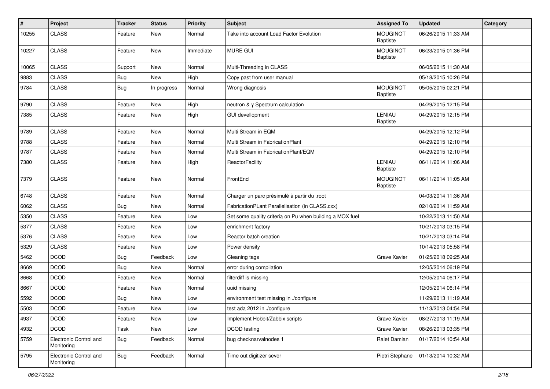| #     | Project                              | <b>Tracker</b> | <b>Status</b> | <b>Priority</b> | <b>Subject</b>                                           | <b>Assigned To</b>                 | <b>Updated</b>      | Category |
|-------|--------------------------------------|----------------|---------------|-----------------|----------------------------------------------------------|------------------------------------|---------------------|----------|
| 10255 | <b>CLASS</b>                         | Feature        | New           | Normal          | Take into account Load Factor Evolution                  | <b>MOUGINOT</b><br><b>Baptiste</b> | 06/26/2015 11:33 AM |          |
| 10227 | <b>CLASS</b>                         | Feature        | <b>New</b>    | Immediate       | <b>MURE GUI</b>                                          | <b>MOUGINOT</b><br><b>Baptiste</b> | 06/23/2015 01:36 PM |          |
| 10065 | <b>CLASS</b>                         | Support        | New           | Normal          | Multi-Threading in CLASS                                 |                                    | 06/05/2015 11:30 AM |          |
| 9883  | <b>CLASS</b>                         | Bug            | New           | High            | Copy past from user manual                               |                                    | 05/18/2015 10:26 PM |          |
| 9784  | <b>CLASS</b>                         | Bug            | In progress   | Normal          | Wrong diagnosis                                          | <b>MOUGINOT</b><br><b>Baptiste</b> | 05/05/2015 02:21 PM |          |
| 9790  | <b>CLASS</b>                         | Feature        | New           | High            | neutron & y Spectrum calculation                         |                                    | 04/29/2015 12:15 PM |          |
| 7385  | <b>CLASS</b>                         | Feature        | New           | High            | <b>GUI devellopment</b>                                  | LENIAU<br><b>Baptiste</b>          | 04/29/2015 12:15 PM |          |
| 9789  | <b>CLASS</b>                         | Feature        | New           | Normal          | Multi Stream in EQM                                      |                                    | 04/29/2015 12:12 PM |          |
| 9788  | <b>CLASS</b>                         | Feature        | New           | Normal          | Multi Stream in FabricationPlant                         |                                    | 04/29/2015 12:10 PM |          |
| 9787  | <b>CLASS</b>                         | Feature        | New           | Normal          | Multi Stream in FabricationPlant/EQM                     |                                    | 04/29/2015 12:10 PM |          |
| 7380  | <b>CLASS</b>                         | Feature        | New           | High            | ReactorFacility                                          | LENIAU<br><b>Baptiste</b>          | 06/11/2014 11:06 AM |          |
| 7379  | <b>CLASS</b>                         | Feature        | New           | Normal          | FrontEnd                                                 | <b>MOUGINOT</b><br><b>Baptiste</b> | 06/11/2014 11:05 AM |          |
| 6748  | <b>CLASS</b>                         | Feature        | New           | Normal          | Charger un parc présimulé à partir du .root              |                                    | 04/03/2014 11:36 AM |          |
| 6062  | <b>CLASS</b>                         | Bug            | New           | Normal          | FabricationPLant Parallelisation (in CLASS.cxx)          |                                    | 02/10/2014 11:59 AM |          |
| 5350  | <b>CLASS</b>                         | Feature        | New           | Low             | Set some quality criteria on Pu when building a MOX fuel |                                    | 10/22/2013 11:50 AM |          |
| 5377  | <b>CLASS</b>                         | Feature        | New           | Low             | enrichment factory                                       |                                    | 10/21/2013 03:15 PM |          |
| 5376  | <b>CLASS</b>                         | Feature        | New           | Low             | Reactor batch creation                                   |                                    | 10/21/2013 03:14 PM |          |
| 5329  | <b>CLASS</b>                         | Feature        | New           | Low             | Power density                                            |                                    | 10/14/2013 05:58 PM |          |
| 5462  | <b>DCOD</b>                          | <b>Bug</b>     | Feedback      | Low             | Cleaning tags                                            | Grave Xavier                       | 01/25/2018 09:25 AM |          |
| 8669  | <b>DCOD</b>                          | Bug            | New           | Normal          | error during compilation                                 |                                    | 12/05/2014 06:19 PM |          |
| 8668  | <b>DCOD</b>                          | Feature        | New           | Normal          | filterdiff is missing                                    |                                    | 12/05/2014 06:17 PM |          |
| 8667  | <b>DCOD</b>                          | Feature        | New           | Normal          | uuid missing                                             |                                    | 12/05/2014 06:14 PM |          |
| 5592  | <b>DCOD</b>                          | <b>Bug</b>     | New           | Low             | environment test missing in ./configure                  |                                    | 11/29/2013 11:19 AM |          |
| 5503  | <b>DCOD</b>                          | Feature        | New           | Low             | test ada 2012 in ./configure                             |                                    | 11/13/2013 04:54 PM |          |
| 4937  | <b>DCOD</b>                          | Feature        | New           | Low             | Implement Hobbit/Zabbix scripts                          | Grave Xavier                       | 08/27/2013 11:19 AM |          |
| 4932  | <b>DCOD</b>                          | Task           | New           | Low             | DCOD testing                                             | Grave Xavier                       | 08/26/2013 03:35 PM |          |
| 5759  | Electronic Control and<br>Monitoring | Bug            | Feedback      | Normal          | bug checknarvalnodes 1                                   | Ralet Damian                       | 01/17/2014 10:54 AM |          |
| 5795  | Electronic Control and<br>Monitoring | <b>Bug</b>     | Feedback      | Normal          | Time out digitizer sever                                 | Pietri Stephane                    | 01/13/2014 10:32 AM |          |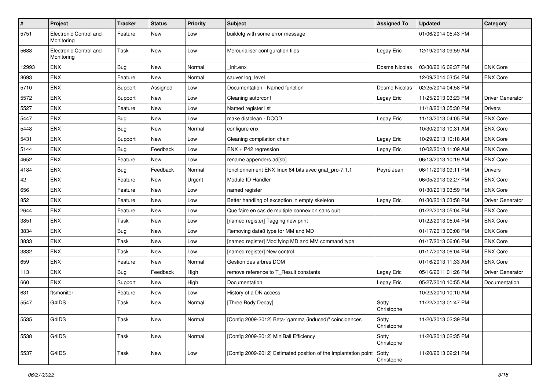| $\vert$ # | Project                              | <b>Tracker</b> | <b>Status</b> | <b>Priority</b> | <b>Subject</b>                                                  | <b>Assigned To</b>  | <b>Updated</b>      | Category                |
|-----------|--------------------------------------|----------------|---------------|-----------------|-----------------------------------------------------------------|---------------------|---------------------|-------------------------|
| 5751      | Electronic Control and<br>Monitoring | Feature        | New           | Low             | buildcfg with some error message                                |                     | 01/06/2014 05:43 PM |                         |
| 5688      | Electronic Control and<br>Monitoring | Task           | <b>New</b>    | Low             | Mercurialiser configuration files                               | Legay Eric          | 12/19/2013 09:59 AM |                         |
| 12993     | <b>ENX</b>                           | Bug            | <b>New</b>    | Normal          | init.enx                                                        | Dosme Nicolas       | 03/30/2016 02:37 PM | <b>ENX Core</b>         |
| 8693      | <b>ENX</b>                           | Feature        | <b>New</b>    | Normal          | sauver log_level                                                |                     | 12/09/2014 03:54 PM | <b>ENX Core</b>         |
| 5710      | <b>ENX</b>                           | Support        | Assigned      | Low             | Documentation - Named function                                  | Dosme Nicolas       | 02/25/2014 04:58 PM |                         |
| 5572      | <b>ENX</b>                           | Support        | New           | Low             | Cleaning autorconf                                              | Legay Eric          | 11/25/2013 03:23 PM | <b>Driver Generator</b> |
| 5527      | <b>ENX</b>                           | Feature        | New           | Low             | Named register list                                             |                     | 11/18/2013 05:30 PM | <b>Drivers</b>          |
| 5447      | <b>ENX</b>                           | <b>Bug</b>     | <b>New</b>    | Low             | make distclean - DCOD                                           | Legay Eric          | 11/13/2013 04:05 PM | <b>ENX Core</b>         |
| 5448      | <b>ENX</b>                           | <b>Bug</b>     | New           | Normal          | configure enx                                                   |                     | 10/30/2013 10:31 AM | <b>ENX Core</b>         |
| 5431      | <b>ENX</b>                           | Support        | <b>New</b>    | Low             | Cleaning compilation chain                                      | Legay Eric          | 10/29/2013 10:18 AM | <b>ENX Core</b>         |
| 5144      | <b>ENX</b>                           | Bug            | Feedback      | Low             | $ENX + P42$ regression                                          | Legay Eric          | 10/02/2013 11:09 AM | <b>ENX Core</b>         |
| 4652      | <b>ENX</b>                           | Feature        | New           | Low             | rename appenders.ad[sb]                                         |                     | 06/13/2013 10:19 AM | <b>ENX Core</b>         |
| 4184      | <b>ENX</b>                           | Bug            | Feedback      | Normal          | fonctionnement ENX linux 64 bits avec gnat_pro-7.1.1            | Peyré Jean          | 06/11/2013 09:11 PM | <b>Drivers</b>          |
| 42        | <b>ENX</b>                           | Feature        | <b>New</b>    | Urgent          | Module ID Handler                                               |                     | 06/05/2013 02:27 PM | <b>ENX Core</b>         |
| 656       | <b>ENX</b>                           | Feature        | New           | Low             | named register                                                  |                     | 01/30/2013 03:59 PM | <b>ENX Core</b>         |
| 852       | <b>ENX</b>                           | Feature        | New           | Low             | Better handling of exception in empty skeleton                  | Legay Eric          | 01/30/2013 03:58 PM | Driver Generator        |
| 2644      | <b>ENX</b>                           | Feature        | New           | Low             | Que faire en cas de multiple connexion sans quit                |                     | 01/22/2013 05:04 PM | <b>ENX Core</b>         |
| 3851      | <b>ENX</b>                           | Task           | <b>New</b>    | Low             | [named register] Tagging new print                              |                     | 01/22/2013 05:04 PM | <b>ENX Core</b>         |
| 3834      | <b>ENX</b>                           | <b>Bug</b>     | New           | Low             | Removing data8 type for MM and MD                               |                     | 01/17/2013 06:08 PM | <b>ENX Core</b>         |
| 3833      | <b>ENX</b>                           | Task           | New           | Low             | [named register] Modifying MD and MM command type               |                     | 01/17/2013 06:06 PM | <b>ENX Core</b>         |
| 3832      | <b>ENX</b>                           | Task           | <b>New</b>    | Low             | [named register] New control                                    |                     | 01/17/2013 06:04 PM | <b>ENX Core</b>         |
| 659       | <b>ENX</b>                           | Feature        | <b>New</b>    | Normal          | Gestion des arbres DOM                                          |                     | 01/16/2013 11:33 AM | <b>ENX Core</b>         |
| 113       | <b>ENX</b>                           | Bug            | Feedback      | High            | remove reference to T_Result constants                          | Legay Eric          | 05/16/2011 01:26 PM | <b>Driver Generator</b> |
| 660       | <b>ENX</b>                           | Support        | New           | High            | Documentation                                                   | Legay Eric          | 05/27/2010 10:55 AM | Documentation           |
| 631       | ftsmonitor                           | Feature        | New           | Low             | History of a DN access                                          |                     | 10/22/2010 10:10 AM |                         |
| 5547      | G4IDS                                | Task           | New           | Normal          | [Three Body Decay]                                              | Sotty<br>Christophe | 11/22/2013 01:47 PM |                         |
| 5535      | G4IDS                                | Task           | New           | Normal          | [Config 2009-2012] Beta-"gamma (induced)" coincidences          | Sotty<br>Christophe | 11/20/2013 02:39 PM |                         |
| 5538      | G4IDS                                | Task           | New           | Normal          | [Config 2009-2012] MiniBall Efficiency                          | Sotty<br>Christophe | 11/20/2013 02:35 PM |                         |
| 5537      | G4IDS                                | Task           | New           | Low             | [Config 2009-2012] Estimated position of the implantation point | Sotty<br>Christophe | 11/20/2013 02:21 PM |                         |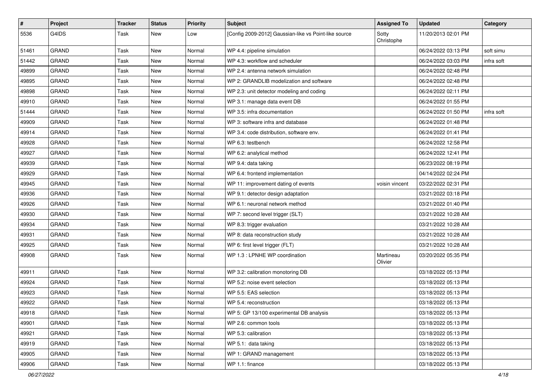| #     | Project      | <b>Tracker</b> | <b>Status</b> | <b>Priority</b> | <b>Subject</b>                                        | <b>Assigned To</b>   | <b>Updated</b>      | Category   |
|-------|--------------|----------------|---------------|-----------------|-------------------------------------------------------|----------------------|---------------------|------------|
| 5536  | G4IDS        | Task           | New           | Low             | [Config 2009-2012] Gaussian-like vs Point-like source | Sotty<br>Christophe  | 11/20/2013 02:01 PM |            |
| 51461 | GRAND        | Task           | <b>New</b>    | Normal          | WP 4.4: pipeline simulation                           |                      | 06/24/2022 03:13 PM | soft simu  |
| 51442 | <b>GRAND</b> | Task           | New           | Normal          | WP 4.3: workflow and scheduler                        |                      | 06/24/2022 03:03 PM | infra soft |
| 49899 | <b>GRAND</b> | Task           | New           | Normal          | WP 2.4: antenna network simulation                    |                      | 06/24/2022 02:48 PM |            |
| 49895 | <b>GRAND</b> | Task           | New           | Normal          | WP 2: GRANDLIB modelization and software              |                      | 06/24/2022 02:48 PM |            |
| 49898 | GRAND        | Task           | New           | Normal          | WP 2.3: unit detector modeling and coding             |                      | 06/24/2022 02:11 PM |            |
| 49910 | <b>GRAND</b> | Task           | New           | Normal          | WP 3.1: manage data event DB                          |                      | 06/24/2022 01:55 PM |            |
| 51444 | <b>GRAND</b> | Task           | New           | Normal          | WP 3.5: infra documentation                           |                      | 06/24/2022 01:50 PM | infra soft |
| 49909 | <b>GRAND</b> | Task           | <b>New</b>    | Normal          | WP 3: software infra and database                     |                      | 06/24/2022 01:48 PM |            |
| 49914 | <b>GRAND</b> | Task           | New           | Normal          | WP 3.4: code distribution, software env.              |                      | 06/24/2022 01:41 PM |            |
| 49928 | <b>GRAND</b> | Task           | <b>New</b>    | Normal          | WP 6.3: testbench                                     |                      | 06/24/2022 12:58 PM |            |
| 49927 | <b>GRAND</b> | Task           | New           | Normal          | WP 6.2: analytical method                             |                      | 06/24/2022 12:41 PM |            |
| 49939 | <b>GRAND</b> | Task           | <b>New</b>    | Normal          | WP 9.4: data taking                                   |                      | 06/23/2022 08:19 PM |            |
| 49929 | GRAND        | Task           | New           | Normal          | WP 6.4: frontend implementation                       |                      | 04/14/2022 02:24 PM |            |
| 49945 | <b>GRAND</b> | Task           | <b>New</b>    | Normal          | WP 11: improvement dating of events                   | voisin vincent       | 03/22/2022 02:31 PM |            |
| 49936 | <b>GRAND</b> | Task           | <b>New</b>    | Normal          | WP 9.1: detector design adaptation                    |                      | 03/21/2022 03:18 PM |            |
| 49926 | <b>GRAND</b> | Task           | New           | Normal          | WP 6.1: neuronal network method                       |                      | 03/21/2022 01:40 PM |            |
| 49930 | <b>GRAND</b> | Task           | <b>New</b>    | Normal          | WP 7: second level trigger (SLT)                      |                      | 03/21/2022 10:28 AM |            |
| 49934 | GRAND        | Task           | <b>New</b>    | Normal          | WP 8.3: trigger evaluation                            |                      | 03/21/2022 10:28 AM |            |
| 49931 | <b>GRAND</b> | Task           | New           | Normal          | WP 8: data reconstruction study                       |                      | 03/21/2022 10:28 AM |            |
| 49925 | GRAND        | Task           | New           | Normal          | WP 6: first level trigger (FLT)                       |                      | 03/21/2022 10:28 AM |            |
| 49908 | <b>GRAND</b> | Task           | <b>New</b>    | Normal          | WP 1.3 : LPNHE WP coordination                        | Martineau<br>Olivier | 03/20/2022 05:35 PM |            |
| 49911 | GRAND        | Task           | <b>New</b>    | Normal          | WP 3.2: calibration monotoring DB                     |                      | 03/18/2022 05:13 PM |            |
| 49924 | <b>GRAND</b> | Task           | New           | Normal          | WP 5.2: noise event selection                         |                      | 03/18/2022 05:13 PM |            |
| 49923 | <b>GRAND</b> | Task           | <b>New</b>    | Normal          | WP 5.5: EAS selection                                 |                      | 03/18/2022 05:13 PM |            |
| 49922 | <b>GRAND</b> | Task           | <b>New</b>    | Normal          | WP 5.4: reconstruction                                |                      | 03/18/2022 05:13 PM |            |
| 49918 | GRAND        | Task           | New           | Normal          | WP 5: GP 13/100 experimental DB analysis              |                      | 03/18/2022 05:13 PM |            |
| 49901 | <b>GRAND</b> | Task           | New           | Normal          | WP 2.6: common tools                                  |                      | 03/18/2022 05:13 PM |            |
| 49921 | <b>GRAND</b> | Task           | New           | Normal          | WP 5.3: calibration                                   |                      | 03/18/2022 05:13 PM |            |
| 49919 | <b>GRAND</b> | Task           | New           | Normal          | WP 5.1: data taking                                   |                      | 03/18/2022 05:13 PM |            |
| 49905 | GRAND        | Task           | New           | Normal          | WP 1: GRAND management                                |                      | 03/18/2022 05:13 PM |            |
| 49906 | GRAND        | Task           | New           | Normal          | WP 1.1: finance                                       |                      | 03/18/2022 05:13 PM |            |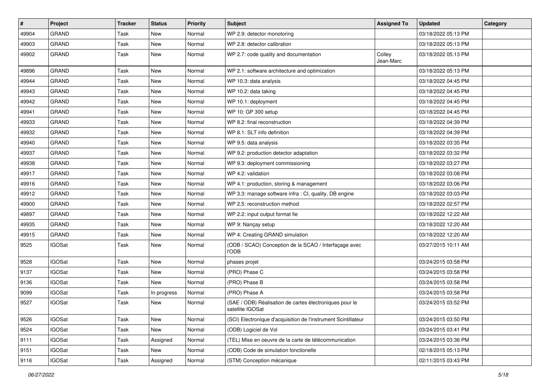| #     | Project       | <b>Tracker</b> | <b>Status</b> | <b>Priority</b> | <b>Subject</b>                                                              | <b>Assigned To</b>  | <b>Updated</b>      | Category |
|-------|---------------|----------------|---------------|-----------------|-----------------------------------------------------------------------------|---------------------|---------------------|----------|
| 49904 | <b>GRAND</b>  | Task           | <b>New</b>    | Normal          | WP 2.9: detector monotoring                                                 |                     | 03/18/2022 05:13 PM |          |
| 49903 | <b>GRAND</b>  | Task           | New           | Normal          | WP 2.8: detector calibration                                                |                     | 03/18/2022 05:13 PM |          |
| 49902 | <b>GRAND</b>  | Task           | New           | Normal          | WP 2.7: code quality and documentation                                      | Colley<br>Jean-Marc | 03/18/2022 05:13 PM |          |
| 49896 | <b>GRAND</b>  | Task           | New           | Normal          | WP 2.1: software architecture and optimization                              |                     | 03/18/2022 05:13 PM |          |
| 49944 | <b>GRAND</b>  | Task           | New           | Normal          | WP 10.3: data analysis                                                      |                     | 03/18/2022 04:45 PM |          |
| 49943 | <b>GRAND</b>  | Task           | New           | Normal          | WP 10.2: data taking                                                        |                     | 03/18/2022 04:45 PM |          |
| 49942 | <b>GRAND</b>  | Task           | New           | Normal          | WP 10.1: deployment                                                         |                     | 03/18/2022 04:45 PM |          |
| 49941 | <b>GRAND</b>  | Task           | New           | Normal          | WP 10: GP 300 setup                                                         |                     | 03/18/2022 04:45 PM |          |
| 49933 | <b>GRAND</b>  | Task           | New           | Normal          | WP 8.2: final reconstruction                                                |                     | 03/18/2022 04:39 PM |          |
| 49932 | <b>GRAND</b>  | Task           | New           | Normal          | WP 8.1: SLT info definition                                                 |                     | 03/18/2022 04:39 PM |          |
| 49940 | <b>GRAND</b>  | Task           | New           | Normal          | WP 9.5: data analysis                                                       |                     | 03/18/2022 03:35 PM |          |
| 49937 | <b>GRAND</b>  | Task           | New           | Normal          | WP 9.2: production detector adaptation                                      |                     | 03/18/2022 03:32 PM |          |
| 49938 | <b>GRAND</b>  | Task           | New           | Normal          | WP 9.3: deployment commissioning                                            |                     | 03/18/2022 03:27 PM |          |
| 49917 | <b>GRAND</b>  | Task           | New           | Normal          | WP 4.2: validation                                                          |                     | 03/18/2022 03:08 PM |          |
| 49916 | <b>GRAND</b>  | Task           | New           | Normal          | WP 4.1: production, storing & management                                    |                     | 03/18/2022 03:06 PM |          |
| 49912 | <b>GRAND</b>  | Task           | New           | Normal          | WP 3.3: manage software infra : CI, quality, DB engine                      |                     | 03/18/2022 03:03 PM |          |
| 49900 | <b>GRAND</b>  | Task           | New           | Normal          | WP 2.5: reconstruction method                                               |                     | 03/18/2022 02:57 PM |          |
| 49897 | <b>GRAND</b>  | Task           | New           | Normal          | WP 2.2: input output format fie                                             |                     | 03/18/2022 12:22 AM |          |
| 49935 | <b>GRAND</b>  | Task           | New           | Normal          | WP 9: Nançay setup                                                          |                     | 03/18/2022 12:20 AM |          |
| 49915 | <b>GRAND</b>  | Task           | New           | Normal          | WP 4: Creating GRAND simulation                                             |                     | 03/18/2022 12:20 AM |          |
| 9525  | <b>IGOSat</b> | Task           | New           | Normal          | (ODB / SCAO) Conception de la SCAO / Interfaçage avec<br><b>I'ODB</b>       |                     | 03/27/2015 10:11 AM |          |
| 9528  | <b>IGOSat</b> | Task           | New           | Normal          | phases projet                                                               |                     | 03/24/2015 03:58 PM |          |
| 9137  | <b>IGOSat</b> | Task           | New           | Normal          | (PRO) Phase C                                                               |                     | 03/24/2015 03:58 PM |          |
| 9136  | <b>IGOSat</b> | Task           | New           | Normal          | (PRO) Phase B                                                               |                     | 03/24/2015 03:58 PM |          |
| 9099  | <b>IGOSat</b> | Task           | In progress   | Normal          | (PRO) Phase A                                                               |                     | 03/24/2015 03:58 PM |          |
| 9527  | <b>IGOSat</b> | Task           | New           | Normal          | (SAE / ODB) Réalisation de cartes électroniques pour le<br>satellite IGOSat |                     | 03/24/2015 03:52 PM |          |
| 9526  | <b>IGOSat</b> | Task           | New           | Normal          | (SCI) Electronique d'acquisition de l'instrument Scintillateur              |                     | 03/24/2015 03:50 PM |          |
| 9524  | <b>IGOSat</b> | Task           | New           | Normal          | (ODB) Logiciel de Vol                                                       |                     | 03/24/2015 03:41 PM |          |
| 9111  | <b>IGOSat</b> | Task           | Assigned      | Normal          | (TEL) Mise en oeuvre de la carte de télécommunication                       |                     | 03/24/2015 03:36 PM |          |
| 9151  | <b>IGOSat</b> | Task           | New           | Normal          | (ODB) Code de simulation fonctionelle                                       |                     | 02/18/2015 05:13 PM |          |
| 9116  | <b>IGOSat</b> | Task           | Assigned      | Normal          | (STM) Conception mécanique                                                  |                     | 02/11/2015 03:43 PM |          |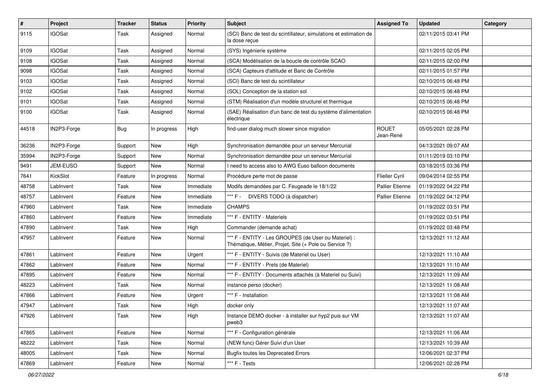| $\vert$ # | Project       | <b>Tracker</b> | <b>Status</b> | <b>Priority</b> | <b>Subject</b>                                                                                                 | <b>Assigned To</b>        | <b>Updated</b>      | Category |
|-----------|---------------|----------------|---------------|-----------------|----------------------------------------------------------------------------------------------------------------|---------------------------|---------------------|----------|
| 9115      | <b>IGOSat</b> | Task           | Assigned      | Normal          | (SCI) Banc de test du scintillateur, simulations et estimation de<br>la dose reçue                             |                           | 02/11/2015 03:41 PM |          |
| 9109      | <b>IGOSat</b> | Task           | Assigned      | Normal          | (SYS) Ingénierie système                                                                                       |                           | 02/11/2015 02:05 PM |          |
| 9108      | <b>IGOSat</b> | Task           | Assigned      | Normal          | (SCA) Modélisation de la boucle de contrôle SCAO                                                               |                           | 02/11/2015 02:00 PM |          |
| 9098      | <b>IGOSat</b> | Task           | Assigned      | Normal          | (SCA) Capteurs d'attitude et Banc de Contrôle                                                                  |                           | 02/11/2015 01:57 PM |          |
| 9103      | <b>IGOSat</b> | Task           | Assigned      | Normal          | (SCI) Banc de test du scintillateur                                                                            |                           | 02/10/2015 06:48 PM |          |
| 9102      | <b>IGOSat</b> | Task           | Assigned      | Normal          | (SOL) Conception de la station sol                                                                             |                           | 02/10/2015 06:48 PM |          |
| 9101      | <b>IGOSat</b> | Task           | Assigned      | Normal          | (STM) Réalisation d'un modèle structurel et thermique                                                          |                           | 02/10/2015 06:48 PM |          |
| 9100      | <b>IGOSat</b> | Task           | Assigned      | Normal          | (SAE) Réalisation d'un banc de test du système d'alimentation<br>électrique                                    |                           | 02/10/2015 06:48 PM |          |
| 44518     | IN2P3-Forge   | Bug            | In progress   | High            | find-user dialog much slower since migration                                                                   | <b>ROUET</b><br>Jean-René | 05/05/2021 02:28 PM |          |
| 36236     | IN2P3-Forge   | Support        | New           | High            | Synchronisation demandée pour un serveur Mercurial                                                             |                           | 04/13/2021 09:07 AM |          |
| 35994     | IN2P3-Forge   | Support        | New           | Normal          | Synchronisation demandée pour un serveur Mercurial                                                             |                           | 01/11/2019 03:10 PM |          |
| 9491      | JEM-EUSO      | Support        | <b>New</b>    | Normal          | I need to access also to AWG Euso balloon documents                                                            |                           | 03/18/2015 03:36 PM |          |
| 7641      | KickSlot      | Feature        | In progress   | Normal          | Procédure perte mot de passe                                                                                   | Flieller Cyril            | 09/04/2014 02:55 PM |          |
| 48758     | LabInvent     | Task           | New           | Immediate       | Modifs demandées par C. Feugeade le 18/1/22                                                                    | <b>Pallier Etienne</b>    | 01/19/2022 04:22 PM |          |
| 48757     | LabInvent     | Feature        | New           | Immediate       | *** F - DIVERS TODO (à dispatcher)                                                                             | Pallier Etienne           | 01/19/2022 04:12 PM |          |
| 47960     | LabInvent     | Task           | <b>New</b>    | Immediate       | CHAMPS.                                                                                                        |                           | 01/19/2022 03:51 PM |          |
| 47860     | LabInvent     | Feature        | New           | Immediate       | *** F - ENTITY - Materiels                                                                                     |                           | 01/19/2022 03:51 PM |          |
| 47890     | LabInvent     | Task           | New           | High            | Commander (demande achat)                                                                                      |                           | 01/19/2022 03:48 PM |          |
| 47957     | LabInvent     | Feature        | New           | Normal          | *** F - ENTITY - Les GROUPES (de User ou Materiel) :<br>Thématique, Métier, Projet, Site (+ Pole ou Service ?) |                           | 12/13/2021 11:12 AM |          |
| 47861     | LabInvent     | Feature        | New           | Urgent          | *** F - ENTITY - Suivis (de Materiel ou User)                                                                  |                           | 12/13/2021 11:10 AM |          |
| 47862     | LabInvent     | Feature        | <b>New</b>    | Normal          | *** F - ENTITY - Prets (de Materiel)                                                                           |                           | 12/13/2021 11:10 AM |          |
| 47895     | LabInvent     | Feature        | New           | Normal          | *** F - ENTITY - Documents attachés (à Materiel ou Suivi)                                                      |                           | 12/13/2021 11:09 AM |          |
| 48223     | LabInvent     | Task           | New           | Normal          | instance perso (docker)                                                                                        |                           | 12/13/2021 11:08 AM |          |
| 47866     | LabInvent     | Feature        | New           | Urgent          | *** F - Installation                                                                                           |                           | 12/13/2021 11:08 AM |          |
| 47947     | LabInvent     | Task           | New           | High            | docker only                                                                                                    |                           | 12/13/2021 11:07 AM |          |
| 47926     | LabInvent     | Task           | New           | High            | Instance DEMO docker - à installer sur hyp2 puis sur VM<br>pweb3                                               |                           | 12/13/2021 11:07 AM |          |
| 47865     | LabInvent     | Feature        | New           | Normal          | *** F - Configuration générale                                                                                 |                           | 12/13/2021 11:06 AM |          |
| 48222     | LabInvent     | Task           | New           | Normal          | (NEW func) Gérer Suivi d'un User                                                                               |                           | 12/13/2021 10:39 AM |          |
| 48005     | LabInvent     | Task           | New           | Normal          | <b>Bugfix toutes les Deprecated Errors</b>                                                                     |                           | 12/06/2021 02:37 PM |          |
| 47869     | LabInvent     | Feature        | New           | Normal          | *** F - Tests                                                                                                  |                           | 12/06/2021 02:28 PM |          |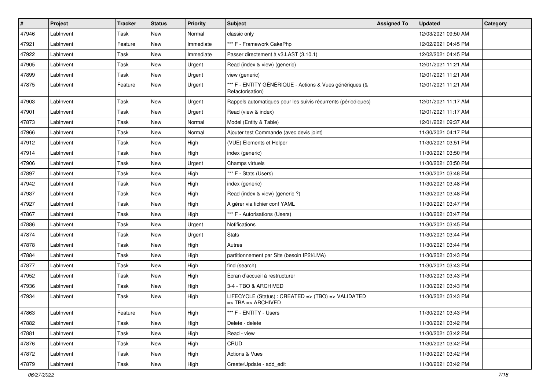| #     | Project   | <b>Tracker</b> | <b>Status</b> | <b>Priority</b> | <b>Subject</b>                                                                                 | <b>Assigned To</b> | <b>Updated</b>      | Category |
|-------|-----------|----------------|---------------|-----------------|------------------------------------------------------------------------------------------------|--------------------|---------------------|----------|
| 47946 | LabInvent | Task           | New           | Normal          | classic only                                                                                   |                    | 12/03/2021 09:50 AM |          |
| 47921 | LabInvent | Feature        | New           | Immediate       | *** F - Framework CakePhp                                                                      |                    | 12/02/2021 04:45 PM |          |
| 47922 | LabInvent | Task           | New           | Immediate       | Passer directement à v3.LAST (3.10.1)                                                          |                    | 12/02/2021 04:45 PM |          |
| 47905 | LabInvent | Task           | New           | Urgent          | Read (index & view) (generic)                                                                  |                    | 12/01/2021 11:21 AM |          |
| 47899 | LabInvent | Task           | <b>New</b>    | Urgent          | view (generic)                                                                                 |                    | 12/01/2021 11:21 AM |          |
| 47875 | LabInvent | Feature        | New           | Urgent          | *** F - ENTITY GÉNÉRIQUE - Actions & Vues génériques (&<br>Refactorisation)                    |                    | 12/01/2021 11:21 AM |          |
| 47903 | LabInvent | Task           | New           | Urgent          | Rappels automatiques pour les suivis récurrents (périodiques)                                  |                    | 12/01/2021 11:17 AM |          |
| 47901 | LabInvent | Task           | <b>New</b>    | Urgent          | Read (view & index)                                                                            |                    | 12/01/2021 11:17 AM |          |
| 47873 | LabInvent | Task           | <b>New</b>    | Normal          | Model (Entity & Table)                                                                         |                    | 12/01/2021 09:37 AM |          |
| 47966 | LabInvent | Task           | New           | Normal          | Ajouter test Commande (avec devis joint)                                                       |                    | 11/30/2021 04:17 PM |          |
| 47912 | LabInvent | Task           | New           | High            | (VUE) Elements et Helper                                                                       |                    | 11/30/2021 03:51 PM |          |
| 47914 | LabInvent | Task           | <b>New</b>    | High            | index (generic)                                                                                |                    | 11/30/2021 03:50 PM |          |
| 47906 | LabInvent | Task           | New           | Urgent          | Champs virtuels                                                                                |                    | 11/30/2021 03:50 PM |          |
| 47897 | LabInvent | Task           | <b>New</b>    | High            | *** F - Stats (Users)                                                                          |                    | 11/30/2021 03:48 PM |          |
| 47942 | LabInvent | Task           | <b>New</b>    | High            | index (generic)                                                                                |                    | 11/30/2021 03:48 PM |          |
| 47937 | LabInvent | Task           | New           | High            | Read (index & view) (generic ?)                                                                |                    | 11/30/2021 03:48 PM |          |
| 47927 | LabInvent | Task           | <b>New</b>    | High            | A gérer via fichier conf YAML                                                                  |                    | 11/30/2021 03:47 PM |          |
| 47867 | LabInvent | Task           | <b>New</b>    | High            | *** F - Autorisations (Users)                                                                  |                    | 11/30/2021 03:47 PM |          |
| 47886 | LabInvent | Task           | <b>New</b>    | Urgent          | Notifications                                                                                  |                    | 11/30/2021 03:45 PM |          |
| 47874 | LabInvent | Task           | New           | Urgent          | <b>Stats</b>                                                                                   |                    | 11/30/2021 03:44 PM |          |
| 47878 | LabInvent | Task           | <b>New</b>    | High            | Autres                                                                                         |                    | 11/30/2021 03:44 PM |          |
| 47884 | LabInvent | Task           | <b>New</b>    | High            | partitionnement par Site (besoin IP2I/LMA)                                                     |                    | 11/30/2021 03:43 PM |          |
| 47877 | LabInvent | Task           | New           | High            | find (search)                                                                                  |                    | 11/30/2021 03:43 PM |          |
| 47952 | LabInvent | Task           | <b>New</b>    | High            | Ecran d'accueil à restructurer                                                                 |                    | 11/30/2021 03:43 PM |          |
| 47936 | LabInvent | Task           | New           | High            | 3-4 - TBO & ARCHIVED                                                                           |                    | 11/30/2021 03:43 PM |          |
| 47934 | LabInvent | Task           | New           | High            | LIFECYCLE (Status) : CREATED => (TBO) => VALIDATED<br>$\Rightarrow$ TBA $\Rightarrow$ ARCHIVED |                    | 11/30/2021 03:43 PM |          |
| 47863 | LabInvent | Feature        | New           | High            | *** F - ENTITY - Users                                                                         |                    | 11/30/2021 03:43 PM |          |
| 47882 | LabInvent | Task           | New           | High            | Delete - delete                                                                                |                    | 11/30/2021 03:42 PM |          |
| 47881 | LabInvent | Task           | New           | High            | Read - view                                                                                    |                    | 11/30/2021 03:42 PM |          |
| 47876 | LabInvent | Task           | New           | High            | CRUD                                                                                           |                    | 11/30/2021 03:42 PM |          |
| 47872 | LabInvent | Task           | New           | High            | Actions & Vues                                                                                 |                    | 11/30/2021 03:42 PM |          |
| 47879 | LabInvent | Task           | New           | High            | Create/Update - add edit                                                                       |                    | 11/30/2021 03:42 PM |          |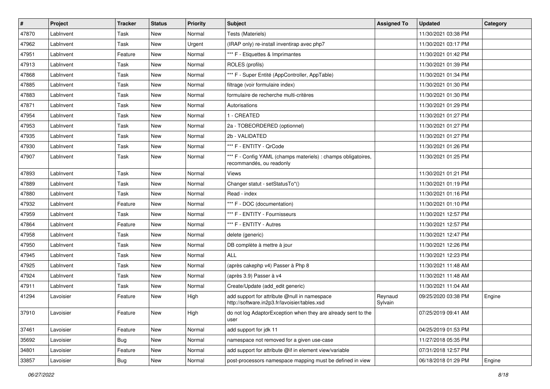| $\sharp$ | Project   | <b>Tracker</b> | <b>Status</b> | <b>Priority</b> | Subject                                                                                       | <b>Assigned To</b> | <b>Updated</b>      | Category |
|----------|-----------|----------------|---------------|-----------------|-----------------------------------------------------------------------------------------------|--------------------|---------------------|----------|
| 47870    | LabInvent | Task           | New           | Normal          | Tests (Materiels)                                                                             |                    | 11/30/2021 03:38 PM |          |
| 47962    | LabInvent | Task           | <b>New</b>    | Urgent          | (IRAP only) re-install inventirap avec php7                                                   |                    | 11/30/2021 03:17 PM |          |
| 47951    | LabInvent | Feature        | New           | Normal          | *** F - Etiquettes & Imprimantes                                                              |                    | 11/30/2021 01:42 PM |          |
| 47913    | LabInvent | Task           | New           | Normal          | ROLES (profils)                                                                               |                    | 11/30/2021 01:39 PM |          |
| 47868    | LabInvent | Task           | <b>New</b>    | Normal          | *** F - Super Entité (AppController, AppTable)                                                |                    | 11/30/2021 01:34 PM |          |
| 47885    | LabInvent | Task           | New           | Normal          | filtrage (voir formulaire index)                                                              |                    | 11/30/2021 01:30 PM |          |
| 47883    | LabInvent | Task           | <b>New</b>    | Normal          | formulaire de recherche multi-critères                                                        |                    | 11/30/2021 01:30 PM |          |
| 47871    | LabInvent | Task           | New           | Normal          | Autorisations                                                                                 |                    | 11/30/2021 01:29 PM |          |
| 47954    | LabInvent | Task           | New           | Normal          | 1 - CREATED                                                                                   |                    | 11/30/2021 01:27 PM |          |
| 47953    | LabInvent | Task           | <b>New</b>    | Normal          | 2a - TOBEORDERED (optionnel)                                                                  |                    | 11/30/2021 01:27 PM |          |
| 47935    | LabInvent | Task           | New           | Normal          | 2b - VALIDATED                                                                                |                    | 11/30/2021 01:27 PM |          |
| 47930    | Lablnvent | Task           | <b>New</b>    | Normal          | *** F - ENTITY - QrCode                                                                       |                    | 11/30/2021 01:26 PM |          |
| 47907    | LabInvent | Task           | New           | Normal          | *** F - Config YAML (champs materiels) : champs obligatoires,<br>recommandés, ou readonly     |                    | 11/30/2021 01:25 PM |          |
| 47893    | LabInvent | Task           | <b>New</b>    | Normal          | Views                                                                                         |                    | 11/30/2021 01:21 PM |          |
| 47889    | LabInvent | Task           | New           | Normal          | Changer statut - setStatusTo*()                                                               |                    | 11/30/2021 01:19 PM |          |
| 47880    | LabInvent | Task           | New           | Normal          | Read - index                                                                                  |                    | 11/30/2021 01:16 PM |          |
| 47932    | Lablnvent | Feature        | <b>New</b>    | Normal          | *** F - DOC (documentation)                                                                   |                    | 11/30/2021 01:10 PM |          |
| 47959    | LabInvent | Task           | New           | Normal          | *** F - ENTITY - Fournisseurs                                                                 |                    | 11/30/2021 12:57 PM |          |
| 47864    | LabInvent | Feature        | <b>New</b>    | Normal          | *** F - ENTITY - Autres                                                                       |                    | 11/30/2021 12:57 PM |          |
| 47958    | LabInvent | Task           | New           | Normal          | delete (generic)                                                                              |                    | 11/30/2021 12:47 PM |          |
| 47950    | LabInvent | Task           | New           | Normal          | DB complète à mettre à jour                                                                   |                    | 11/30/2021 12:26 PM |          |
| 47945    | LabInvent | Task           | <b>New</b>    | Normal          | ALL                                                                                           |                    | 11/30/2021 12:23 PM |          |
| 47925    | LabInvent | Task           | New           | Normal          | (après cakephp v4) Passer à Php 8                                                             |                    | 11/30/2021 11:48 AM |          |
| 47924    | Lablnvent | Task           | <b>New</b>    | Normal          | (après 3.9) Passer à v4                                                                       |                    | 11/30/2021 11:48 AM |          |
| 47911    | LabInvent | Task           | New           | Normal          | Create/Update (add_edit generic)                                                              |                    | 11/30/2021 11:04 AM |          |
| 41294    | Lavoisier | Feature        | New           | High            | add support for attribute @null in namespace<br>http://software.in2p3.fr/lavoisier/tables.xsd | Reynaud<br>Sylvain | 09/25/2020 03:38 PM | Engine   |
| 37910    | Lavoisier | Feature        | New           | High            | do not log AdaptorException when they are already sent to the<br>user                         |                    | 07/25/2019 09:41 AM |          |
| 37461    | Lavoisier | Feature        | New           | Normal          | add support for jdk 11                                                                        |                    | 04/25/2019 01:53 PM |          |
| 35692    | Lavoisier | <b>Bug</b>     | New           | Normal          | namespace not removed for a given use-case                                                    |                    | 11/27/2018 05:35 PM |          |
| 34801    | Lavoisier | Feature        | New           | Normal          | add support for attribute @if in element view/variable                                        |                    | 07/31/2018 12:57 PM |          |
| 33857    | Lavoisier | Bug            | New           | Normal          | post-processors namespace mapping must be defined in view                                     |                    | 06/18/2018 01:29 PM | Engine   |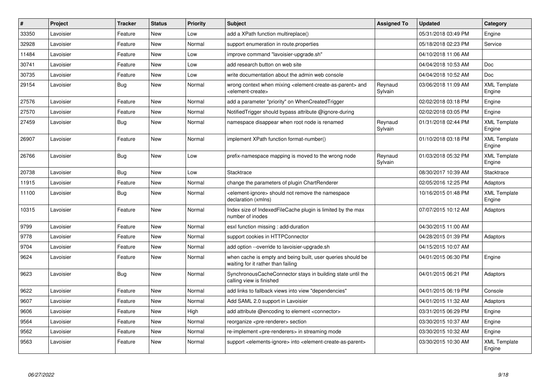| $\vert$ # | Project   | <b>Tracker</b> | <b>Status</b> | <b>Priority</b> | <b>Subject</b>                                                                                                            | <b>Assigned To</b> | <b>Updated</b>      | Category                      |
|-----------|-----------|----------------|---------------|-----------------|---------------------------------------------------------------------------------------------------------------------------|--------------------|---------------------|-------------------------------|
| 33350     | Lavoisier | Feature        | <b>New</b>    | Low             | add a XPath function multireplace()                                                                                       |                    | 05/31/2018 03:49 PM | Engine                        |
| 32928     | Lavoisier | Feature        | <b>New</b>    | Normal          | support enumeration in route properties                                                                                   |                    | 05/18/2018 02:23 PM | Service                       |
| 11484     | Lavoisier | Feature        | <b>New</b>    | Low             | improve command "lavoisier-upgrade.sh"                                                                                    |                    | 04/10/2018 11:06 AM |                               |
| 30741     | Lavoisier | Feature        | <b>New</b>    | Low             | add research button on web site                                                                                           |                    | 04/04/2018 10:53 AM | <b>Doc</b>                    |
| 30735     | Lavoisier | Feature        | <b>New</b>    | Low             | write documentation about the admin web console                                                                           |                    | 04/04/2018 10:52 AM | Doc                           |
| 29154     | Lavoisier | Bug            | <b>New</b>    | Normal          | wrong context when mixing <element-create-as-parent> and<br/><element-create></element-create></element-create-as-parent> | Reynaud<br>Sylvain | 03/06/2018 11:09 AM | <b>XML Template</b><br>Engine |
| 27576     | Lavoisier | Feature        | <b>New</b>    | Normal          | add a parameter "priority" on WhenCreatedTrigger                                                                          |                    | 02/02/2018 03:18 PM | Engine                        |
| 27570     | Lavoisier | Feature        | <b>New</b>    | Normal          | Notified Trigger should bypass attribute @ignore-during                                                                   |                    | 02/02/2018 03:05 PM | Engine                        |
| 27459     | Lavoisier | Bug            | <b>New</b>    | Normal          | namespace disappear when root node is renamed                                                                             | Reynaud<br>Sylvain | 01/31/2018 02:44 PM | <b>XML Template</b><br>Engine |
| 26907     | Lavoisier | Feature        | <b>New</b>    | Normal          | implement XPath function format-number()                                                                                  |                    | 01/10/2018 03:18 PM | <b>XML Template</b><br>Engine |
| 26766     | Lavoisier | <b>Bug</b>     | <b>New</b>    | Low             | prefix-namespace mapping is moved to the wrong node                                                                       | Reynaud<br>Sylvain | 01/03/2018 05:32 PM | <b>XML Template</b><br>Engine |
| 20738     | Lavoisier | <b>Bug</b>     | <b>New</b>    | Low             | Stacktrace                                                                                                                |                    | 08/30/2017 10:39 AM | Stacktrace                    |
| 11915     | Lavoisier | Feature        | <b>New</b>    | Normal          | change the parameters of plugin ChartRenderer                                                                             |                    | 02/05/2016 12:25 PM | Adaptors                      |
| 11100     | Lavoisier | <b>Bug</b>     | <b>New</b>    | Normal          | <element-ignore> should not remove the namespace<br/>declaration (xmlns)</element-ignore>                                 |                    | 10/16/2015 01:48 PM | <b>XML Template</b><br>Engine |
| 10315     | Lavoisier | Feature        | New           | Normal          | Index size of IndexedFileCache plugin is limited by the max<br>number of inodes                                           |                    | 07/07/2015 10:12 AM | Adaptors                      |
| 9799      | Lavoisier | Feature        | <b>New</b>    | Normal          | esxl function missing: add-duration                                                                                       |                    | 04/30/2015 11:00 AM |                               |
| 9778      | Lavoisier | Feature        | <b>New</b>    | Normal          | support cookies in HTTPConnector                                                                                          |                    | 04/28/2015 01:39 PM | Adaptors                      |
| 9704      | Lavoisier | Feature        | <b>New</b>    | Normal          | add option --override to lavoisier-upgrade.sh                                                                             |                    | 04/15/2015 10:07 AM |                               |
| 9624      | Lavoisier | Feature        | <b>New</b>    | Normal          | when cache is empty and being built, user queries should be<br>waiting for it rather than failing                         |                    | 04/01/2015 06:30 PM | Engine                        |
| 9623      | Lavoisier | <b>Bug</b>     | <b>New</b>    | Normal          | SynchronousCacheConnector stays in building state until the<br>calling view is finished                                   |                    | 04/01/2015 06:21 PM | Adaptors                      |
| 9622      | Lavoisier | Feature        | <b>New</b>    | Normal          | add links to fallback views into view "dependencies"                                                                      |                    | 04/01/2015 06:19 PM | Console                       |
| 9607      | Lavoisier | Feature        | <b>New</b>    | Normal          | Add SAML 2.0 support in Lavoisier                                                                                         |                    | 04/01/2015 11:32 AM | Adaptors                      |
| 9606      | Lavoisier | Feature        | <b>New</b>    | High            | add attribute @encoding to element <connector></connector>                                                                |                    | 03/31/2015 06:29 PM | Engine                        |
| 9564      | Lavoisier | Feature        | <b>New</b>    | Normal          | reorganize <pre-renderer> section</pre-renderer>                                                                          |                    | 03/30/2015 10:37 AM | Engine                        |
| 9562      | Lavoisier | Feature        | <b>New</b>    | Normal          | re-implement <pre-renderers> in streaming mode</pre-renderers>                                                            |                    | 03/30/2015 10:32 AM | Engine                        |
| 9563      | Lavoisier | Feature        | <b>New</b>    | Normal          | support <elements-ignore> into <element-create-as-parent></element-create-as-parent></elements-ignore>                    |                    | 03/30/2015 10:30 AM | <b>XML Template</b><br>Engine |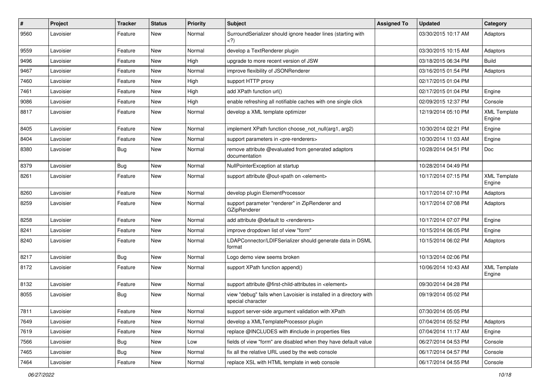| #    | Project   | <b>Tracker</b> | <b>Status</b> | <b>Priority</b> | <b>Subject</b>                                                                          | <b>Assigned To</b> | <b>Updated</b>      | Category                      |
|------|-----------|----------------|---------------|-----------------|-----------------------------------------------------------------------------------------|--------------------|---------------------|-------------------------------|
| 9560 | Lavoisier | Feature        | New           | Normal          | SurroundSerializer should ignore header lines (starting with<br>${<}2)$                 |                    | 03/30/2015 10:17 AM | Adaptors                      |
| 9559 | Lavoisier | Feature        | <b>New</b>    | Normal          | develop a TextRenderer plugin                                                           |                    | 03/30/2015 10:15 AM | Adaptors                      |
| 9496 | Lavoisier | Feature        | New           | High            | upgrade to more recent version of JSW                                                   |                    | 03/18/2015 06:34 PM | <b>Build</b>                  |
| 9467 | Lavoisier | Feature        | <b>New</b>    | Normal          | improve flexibility of JSONRenderer                                                     |                    | 03/16/2015 01:54 PM | Adaptors                      |
| 7460 | Lavoisier | Feature        | New           | High            | support HTTP proxy                                                                      |                    | 02/17/2015 01:04 PM |                               |
| 7461 | Lavoisier | Feature        | New           | High            | add XPath function url()                                                                |                    | 02/17/2015 01:04 PM | Engine                        |
| 9086 | Lavoisier | Feature        | New           | High            | enable refreshing all notifiable caches with one single click                           |                    | 02/09/2015 12:37 PM | Console                       |
| 8817 | Lavoisier | Feature        | New           | Normal          | develop a XML template optimizer                                                        |                    | 12/19/2014 05:10 PM | <b>XML Template</b><br>Engine |
| 8405 | Lavoisier | Feature        | <b>New</b>    | Normal          | implement XPath function choose not null(arg1, arg2)                                    |                    | 10/30/2014 02:21 PM | Engine                        |
| 8404 | Lavoisier | Feature        | New           | Normal          | support parameters in <pre-renderers></pre-renderers>                                   |                    | 10/30/2014 11:03 AM | Engine                        |
| 8380 | Lavoisier | Bug            | <b>New</b>    | Normal          | remove attribute @evaluated from generated adaptors<br>documentation                    |                    | 10/28/2014 04:51 PM | Doc                           |
| 8379 | Lavoisier | Bug            | New           | Normal          | NullPointerException at startup                                                         |                    | 10/28/2014 04:49 PM |                               |
| 8261 | Lavoisier | Feature        | New           | Normal          | support attribute @out-xpath on <element></element>                                     |                    | 10/17/2014 07:15 PM | <b>XML Template</b><br>Engine |
| 8260 | Lavoisier | Feature        | New           | Normal          | develop plugin ElementProcessor                                                         |                    | 10/17/2014 07:10 PM | Adaptors                      |
| 8259 | Lavoisier | Feature        | New           | Normal          | support parameter "renderer" in ZipRenderer and<br>GZipRenderer                         |                    | 10/17/2014 07:08 PM | Adaptors                      |
| 8258 | Lavoisier | Feature        | New           | Normal          | add attribute @default to <renderers></renderers>                                       |                    | 10/17/2014 07:07 PM | Engine                        |
| 8241 | Lavoisier | Feature        | New           | Normal          | improve dropdown list of view "form"                                                    |                    | 10/15/2014 06:05 PM | Engine                        |
| 8240 | Lavoisier | Feature        | New           | Normal          | LDAPConnector/LDIFSerializer should generate data in DSML<br>format                     |                    | 10/15/2014 06:02 PM | Adaptors                      |
| 8217 | Lavoisier | Bug            | New           | Normal          | Logo demo view seems broken                                                             |                    | 10/13/2014 02:06 PM |                               |
| 8172 | Lavoisier | Feature        | New           | Normal          | support XPath function append()                                                         |                    | 10/06/2014 10:43 AM | <b>XML Template</b><br>Engine |
| 8132 | Lavoisier | Feature        | New           | Normal          | support attribute @first-child-attributes in <element></element>                        |                    | 09/30/2014 04:28 PM |                               |
| 8055 | Lavoisier | Bug            | <b>New</b>    | Normal          | view "debug" fails when Lavoisier is installed in a directory with<br>special character |                    | 09/19/2014 05:02 PM |                               |
| 7811 | Lavoisier | Feature        | New           | Normal          | support server-side argument validation with XPath                                      |                    | 07/30/2014 05:05 PM |                               |
| 7649 | Lavoisier | Feature        | New           | Normal          | develop a XMLTemplateProcessor plugin                                                   |                    | 07/04/2014 05:52 PM | Adaptors                      |
| 7619 | Lavoisier | Feature        | New           | Normal          | replace @INCLUDES with #include in properties files                                     |                    | 07/04/2014 11:17 AM | Engine                        |
| 7566 | Lavoisier | Bug            | New           | Low             | fields of view "form" are disabled when they have default value                         |                    | 06/27/2014 04:53 PM | Console                       |
| 7465 | Lavoisier | Bug            | New           | Normal          | fix all the relative URL used by the web console                                        |                    | 06/17/2014 04:57 PM | Console                       |
| 7464 | Lavoisier | Feature        | New           | Normal          | replace XSL with HTML template in web console                                           |                    | 06/17/2014 04:55 PM | Console                       |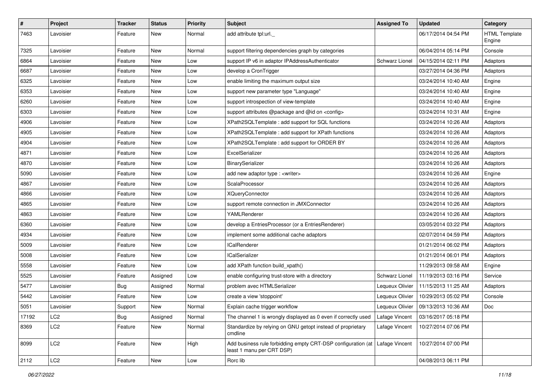| $\sharp$ | Project         | <b>Tracker</b> | <b>Status</b> | <b>Priority</b> | <b>Subject</b>                                                                                             | <b>Assigned To</b>    | <b>Updated</b>      | Category                       |
|----------|-----------------|----------------|---------------|-----------------|------------------------------------------------------------------------------------------------------------|-----------------------|---------------------|--------------------------------|
| 7463     | Lavoisier       | Feature        | New           | Normal          | add attribute tpl:url.                                                                                     |                       | 06/17/2014 04:54 PM | <b>HTML Template</b><br>Engine |
| 7325     | Lavoisier       | Feature        | <b>New</b>    | Normal          | support filtering dependencies graph by categories                                                         |                       | 06/04/2014 05:14 PM | Console                        |
| 6864     | Lavoisier       | Feature        | New           | Low             | support IP v6 in adaptor IPAddressAuthenticator                                                            | <b>Schwarz Lionel</b> | 04/15/2014 02:11 PM | Adaptors                       |
| 6687     | Lavoisier       | Feature        | New           | Low             | develop a CronTrigger                                                                                      |                       | 03/27/2014 04:36 PM | Adaptors                       |
| 6325     | Lavoisier       | Feature        | New           | Low             | enable limiting the maximum output size                                                                    |                       | 03/24/2014 10:40 AM | Engine                         |
| 6353     | Lavoisier       | Feature        | <b>New</b>    | Low             | support new parameter type "Language"                                                                      |                       | 03/24/2014 10:40 AM | Engine                         |
| 6260     | Lavoisier       | Feature        | New           | Low             | support introspection of view-template                                                                     |                       | 03/24/2014 10:40 AM | Engine                         |
| 6303     | Lavoisier       | Feature        | New           | Low             | support attributes @package and @id on <config></config>                                                   |                       | 03/24/2014 10:31 AM | Engine                         |
| 4906     | Lavoisier       | Feature        | New           | Low             | XPath2SQLTemplate : add support for SQL functions                                                          |                       | 03/24/2014 10:26 AM | Adaptors                       |
| 4905     | Lavoisier       | Feature        | New           | Low             | XPath2SQLTemplate : add support for XPath functions                                                        |                       | 03/24/2014 10:26 AM | Adaptors                       |
| 4904     | Lavoisier       | Feature        | New           | Low             | XPath2SQLTemplate : add support for ORDER BY                                                               |                       | 03/24/2014 10:26 AM | Adaptors                       |
| 4871     | Lavoisier       | Feature        | New           | Low             | ExcelSerializer                                                                                            |                       | 03/24/2014 10:26 AM | Adaptors                       |
| 4870     | Lavoisier       | Feature        | New           | Low             | BinarySerializer                                                                                           |                       | 03/24/2014 10:26 AM | Adaptors                       |
| 5090     | Lavoisier       | Feature        | <b>New</b>    | Low             | add new adaptor type : < writer>                                                                           |                       | 03/24/2014 10:26 AM | Engine                         |
| 4867     | Lavoisier       | Feature        | New           | Low             | ScalaProcessor                                                                                             |                       | 03/24/2014 10:26 AM | Adaptors                       |
| 4866     | Lavoisier       | Feature        | New           | Low             | <b>XQueryConnector</b>                                                                                     |                       | 03/24/2014 10:26 AM | Adaptors                       |
| 4865     | Lavoisier       | Feature        | New           | Low             | support remote connection in JMXConnector                                                                  |                       | 03/24/2014 10:26 AM | Adaptors                       |
| 4863     | Lavoisier       | Feature        | New           | Low             | YAMLRenderer                                                                                               |                       | 03/24/2014 10:26 AM | Adaptors                       |
| 6360     | Lavoisier       | Feature        | <b>New</b>    | Low             | develop a EntriesProcessor (or a EntriesRenderer)                                                          |                       | 03/05/2014 03:22 PM | Adaptors                       |
| 4934     | Lavoisier       | Feature        | New           | Low             | implement some additional cache adaptors                                                                   |                       | 02/07/2014 04:59 PM | Adaptors                       |
| 5009     | Lavoisier       | Feature        | New           | Low             | <b>ICalRenderer</b>                                                                                        |                       | 01/21/2014 06:02 PM | Adaptors                       |
| 5008     | Lavoisier       | Feature        | New           | Low             | <b>ICalSerializer</b>                                                                                      |                       | 01/21/2014 06:01 PM | Adaptors                       |
| 5558     | Lavoisier       | Feature        | New           | Low             | add XPath function build_xpath()                                                                           |                       | 11/29/2013 09:58 AM | Engine                         |
| 5525     | Lavoisier       | Feature        | Assigned      | Low             | enable configuring trust-store with a directory                                                            | Schwarz Lionel        | 11/19/2013 03:16 PM | Service                        |
| 5477     | Lavoisier       | <b>Bug</b>     | Assigned      | Normal          | problem avec HTMLSerializer                                                                                | Lequeux Olivier       | 11/15/2013 11:25 AM | Adaptors                       |
| 5442     | Lavoisier       | Feature        | New           | Low             | create a view 'stoppoint'                                                                                  | Lequeux Olivier       | 10/29/2013 05:02 PM | Console                        |
| 5051     | Lavoisier       | Support        | New           | Normal          | Explain cache trigger workflow                                                                             | Lequeux Olivier       | 09/13/2013 10:36 AM | Doc                            |
| 17192    | LC <sub>2</sub> | <b>Bug</b>     | Assigned      | Normal          | The channel 1 is wrongly displayed as 0 even if correctly used                                             | Lafage Vincent        | 03/16/2017 05:18 PM |                                |
| 8369     | LC <sub>2</sub> | Feature        | New           | Normal          | Standardize by relying on GNU getopt instead of proprietary<br>cmdline                                     | Lafage Vincent        | 10/27/2014 07:06 PM |                                |
| 8099     | LC <sub>2</sub> | Feature        | <b>New</b>    | High            | Add business rule forbidding empty CRT-DSP configuration (at   Lafage Vincent<br>least 1 manu per CRT DSP) |                       | 10/27/2014 07:00 PM |                                |
| 2112     | LC <sub>2</sub> | Feature        | New           | Low             | Rorc lib                                                                                                   |                       | 04/08/2013 06:11 PM |                                |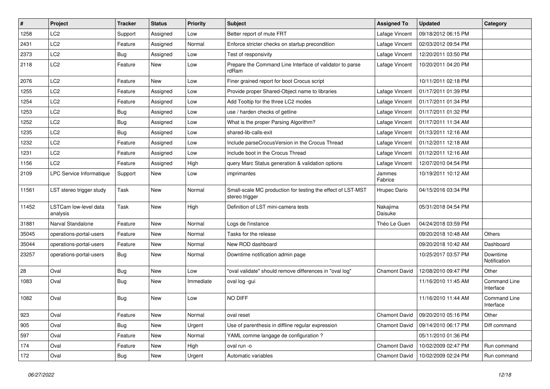| #     | Project                           | <b>Tracker</b> | <b>Status</b> | <b>Priority</b> | <b>Subject</b>                                                                | <b>Assigned To</b>   | <b>Updated</b>      | Category                  |
|-------|-----------------------------------|----------------|---------------|-----------------|-------------------------------------------------------------------------------|----------------------|---------------------|---------------------------|
| 1258  | LC <sub>2</sub>                   | Support        | Assigned      | Low             | Better report of mute FRT                                                     | Lafage Vincent       | 09/18/2012 06:15 PM |                           |
| 2431  | LC <sub>2</sub>                   | Feature        | Assigned      | Normal          | Enforce stricter checks on startup precondition                               | Lafage Vincent       | 02/03/2012 09:54 PM |                           |
| 2373  | LC <sub>2</sub>                   | <b>Bug</b>     | Assigned      | Low             | Test of responsivity                                                          | Lafage Vincent       | 12/20/2011 03:50 PM |                           |
| 2118  | LC <sub>2</sub>                   | Feature        | New           | Low             | Prepare the Command Line Interface of validator to parse<br>rdRam             | Lafage Vincent       | 10/20/2011 04:20 PM |                           |
| 2076  | LC <sub>2</sub>                   | Feature        | New           | Low             | Finer grained report for boot Crocus script                                   |                      | 10/11/2011 02:18 PM |                           |
| 1255  | LC <sub>2</sub>                   | Feature        | Assigned      | Low             | Provide proper Shared-Object name to libraries                                | Lafage Vincent       | 01/17/2011 01:39 PM |                           |
| 1254  | LC <sub>2</sub>                   | Feature        | Assigned      | Low             | Add Tooltip for the three LC2 modes                                           | Lafage Vincent       | 01/17/2011 01:34 PM |                           |
| 1253  | LC <sub>2</sub>                   | <b>Bug</b>     | Assigned      | Low             | use / harden checks of getline                                                | Lafage Vincent       | 01/17/2011 01:32 PM |                           |
| 1252  | LC <sub>2</sub>                   | Bug            | Assigned      | Low             | What is the proper Parsing Algorithm?                                         | Lafage Vincent       | 01/17/2011 11:34 AM |                           |
| 1235  | LC <sub>2</sub>                   | <b>Bug</b>     | Assigned      | Low             | shared-lib-calls-exit                                                         | Lafage Vincent       | 01/13/2011 12:16 AM |                           |
| 1232  | LC <sub>2</sub>                   | Feature        | Assigned      | Low             | Include parseCrocusVersion in the Crocus Thread                               | Lafage Vincent       | 01/12/2011 12:18 AM |                           |
| 1231  | LC <sub>2</sub>                   | Feature        | Assigned      | Low             | Include boot in the Crocus Thread                                             | Lafage Vincent       | 01/12/2011 12:16 AM |                           |
| 1156  | LC <sub>2</sub>                   | Feature        | Assigned      | High            | query Marc Status generation & validation options                             | Lafage Vincent       | 12/07/2010 04:54 PM |                           |
| 2109  | LPC Service Informatique          | Support        | New           | Low             | imprimantes                                                                   | Jammes<br>Fabrice    | 10/19/2011 10:12 AM |                           |
| 11561 | LST stereo trigger study          | Task           | New           | Normal          | Small-scale MC production for testing the effect of LST-MST<br>stereo trigger | Hrupec Dario         | 04/15/2016 03:34 PM |                           |
| 11452 | LSTCam low-level data<br>analysis | Task           | <b>New</b>    | High            | Definition of LST mini-camera tests                                           | Nakajima<br>Daisuke  | 05/31/2018 04:54 PM |                           |
| 31881 | Narval Standalone                 | Feature        | New           | Normal          | Logs de l'instance                                                            | Théo Le Guen         | 04/24/2018 03:59 PM |                           |
| 35045 | operations-portal-users           | Feature        | New           | Normal          | Tasks for the release                                                         |                      | 09/20/2018 10:48 AM | Others                    |
| 35044 | operations-portal-users           | Feature        | <b>New</b>    | Normal          | New ROD dashboard                                                             |                      | 09/20/2018 10:42 AM | Dashboard                 |
| 23257 | operations-portal-users           | Bug            | New           | Normal          | Downtime notification admin page                                              |                      | 10/25/2017 03:57 PM | Downtime<br>Notification  |
| 28    | Oval                              | Bug            | New           | Low             | "oval validate" should remove differences in "oval log"                       | <b>Chamont David</b> | 12/08/2010 09:47 PM | Other                     |
| 1083  | Oval                              | Bug            | New           | Immediate       | oval log -gui                                                                 |                      | 11/16/2010 11:45 AM | Command Line<br>Interface |
| 1082  | Oval                              | Bug            | <b>New</b>    | Low             | NO DIFF                                                                       |                      | 11/16/2010 11:44 AM | Command Line<br>Interface |
| 923   | Oval                              | Feature        | New           | Normal          | oval reset                                                                    | <b>Chamont David</b> | 09/20/2010 05:16 PM | Other                     |
| 905   | Oval                              | Bug            | New           | Urgent          | Use of parenthesis in diffline regular expression                             | Chamont David        | 09/14/2010 06:17 PM | Diff command              |
| 597   | Oval                              | Feature        | <b>New</b>    | Normal          | YAML comme langage de configuration ?                                         |                      | 05/11/2010 01:36 PM |                           |
| 174   | Oval                              | Feature        | New           | High            | oval run -o                                                                   | Chamont David        | 10/02/2009 02:47 PM | Run command               |
| 172   | Oval                              | <b>Bug</b>     | New           | Urgent          | Automatic variables                                                           | Chamont David        | 10/02/2009 02:24 PM | Run command               |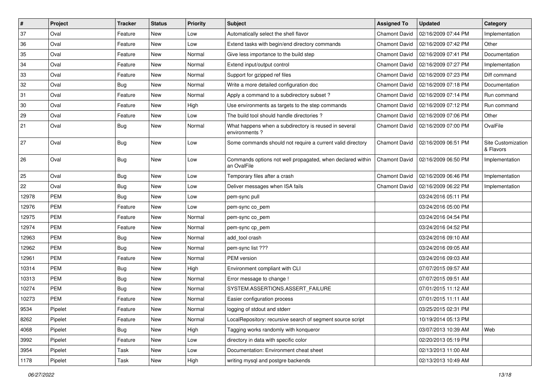| $\vert$ # | Project    | <b>Tracker</b> | <b>Status</b> | <b>Priority</b> | <b>Subject</b>                                                            | <b>Assigned To</b>   | <b>Updated</b>      | Category                        |
|-----------|------------|----------------|---------------|-----------------|---------------------------------------------------------------------------|----------------------|---------------------|---------------------------------|
| 37        | Oval       | Feature        | New           | Low             | Automatically select the shell flavor                                     | <b>Chamont David</b> | 02/16/2009 07:44 PM | Implementation                  |
| 36        | Oval       | Feature        | <b>New</b>    | Low             | Extend tasks with begin/end directory commands                            | <b>Chamont David</b> | 02/16/2009 07:42 PM | Other                           |
| 35        | Oval       | Feature        | New           | Normal          | Give less importance to the build step                                    | Chamont David        | 02/16/2009 07:41 PM | Documentation                   |
| 34        | Oval       | Feature        | <b>New</b>    | Normal          | Extend input/output control                                               | Chamont David        | 02/16/2009 07:27 PM | Implementation                  |
| 33        | Oval       | Feature        | <b>New</b>    | Normal          | Support for gzipped ref files                                             | Chamont David        | 02/16/2009 07:23 PM | Diff command                    |
| 32        | Oval       | <b>Bug</b>     | New           | Normal          | Write a more detailed configuration doc                                   | Chamont David        | 02/16/2009 07:18 PM | Documentation                   |
| 31        | Oval       | Feature        | <b>New</b>    | Normal          | Apply a command to a subdirectory subset?                                 | Chamont David        | 02/16/2009 07:14 PM | Run command                     |
| 30        | Oval       | Feature        | New           | High            | Use environments as targets to the step commands                          | Chamont David        | 02/16/2009 07:12 PM | Run command                     |
| 29        | Oval       | Feature        | <b>New</b>    | Low             | The build tool should handle directories?                                 | Chamont David        | 02/16/2009 07:06 PM | Other                           |
| 21        | Oval       | <b>Bug</b>     | New           | Normal          | What happens when a subdirectory is reused in several<br>environments?    | Chamont David        | 02/16/2009 07:00 PM | OvalFile                        |
| 27        | Oval       | <b>Bug</b>     | New           | Low             | Some commands should not require a current valid directory                | <b>Chamont David</b> | 02/16/2009 06:51 PM | Site Customization<br>& Flavors |
| 26        | Oval       | <b>Bug</b>     | <b>New</b>    | Low             | Commands options not well propagated, when declared within<br>an OvalFile | <b>Chamont David</b> | 02/16/2009 06:50 PM | Implementation                  |
| 25        | Oval       | Bug            | New           | Low             | Temporary files after a crash                                             | <b>Chamont David</b> | 02/16/2009 06:46 PM | Implementation                  |
| 22        | Oval       | <b>Bug</b>     | <b>New</b>    | Low             | Deliver messages when ISA fails                                           | Chamont David        | 02/16/2009 06:22 PM | Implementation                  |
| 12978     | <b>PEM</b> | Bug            | <b>New</b>    | Low             | pem-sync pull                                                             |                      | 03/24/2016 05:11 PM |                                 |
| 12976     | <b>PEM</b> | Feature        | New           | Low             | pem-sync co_pem                                                           |                      | 03/24/2016 05:00 PM |                                 |
| 12975     | <b>PEM</b> | Feature        | New           | Normal          | pem-sync co_pem                                                           |                      | 03/24/2016 04:54 PM |                                 |
| 12974     | <b>PEM</b> | Feature        | <b>New</b>    | Normal          | pem-sync cp_pem                                                           |                      | 03/24/2016 04:52 PM |                                 |
| 12963     | <b>PEM</b> | <b>Bug</b>     | <b>New</b>    | Normal          | add tool crash                                                            |                      | 03/24/2016 09:10 AM |                                 |
| 12962     | <b>PEM</b> | Bug            | <b>New</b>    | Normal          | pem-sync list ???                                                         |                      | 03/24/2016 09:05 AM |                                 |
| 12961     | <b>PEM</b> | Feature        | New           | Normal          | PEM version                                                               |                      | 03/24/2016 09:03 AM |                                 |
| 10314     | <b>PEM</b> | <b>Bug</b>     | <b>New</b>    | High            | Environment compliant with CLI                                            |                      | 07/07/2015 09:57 AM |                                 |
| 10313     | <b>PEM</b> | Bug            | <b>New</b>    | Normal          | Error message to change !                                                 |                      | 07/07/2015 09:51 AM |                                 |
| 10274     | <b>PEM</b> | <b>Bug</b>     | New           | Normal          | SYSTEM.ASSERTIONS.ASSERT_FAILURE                                          |                      | 07/01/2015 11:12 AM |                                 |
| 10273     | <b>PEM</b> | Feature        | <b>New</b>    | Normal          | Easier configuration process                                              |                      | 07/01/2015 11:11 AM |                                 |
| 9534      | Pipelet    | Feature        | New           | Normal          | logging of stdout and stderr                                              |                      | 03/25/2015 02:31 PM |                                 |
| 8262      | Pipelet    | Feature        | New           | Normal          | LocalRepository: recursive search of segment source script                |                      | 10/19/2014 05:13 PM |                                 |
| 4068      | Pipelet    | <b>Bug</b>     | New           | High            | Tagging works randomly with konqueror                                     |                      | 03/07/2013 10:39 AM | Web                             |
| 3992      | Pipelet    | Feature        | New           | Low             | directory in data with specific color                                     |                      | 02/20/2013 05:19 PM |                                 |
| 3954      | Pipelet    | Task           | New           | Low             | Documentation: Environment cheat sheet                                    |                      | 02/13/2013 11:00 AM |                                 |
| 1178      | Pipelet    | Task           | New           | High            | writing mysql and postgre backends                                        |                      | 02/13/2013 10:49 AM |                                 |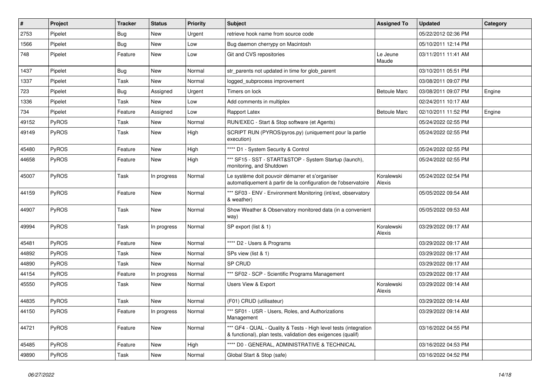| #     | Project      | <b>Tracker</b> | <b>Status</b> | <b>Priority</b> | <b>Subject</b>                                                                                                                   | <b>Assigned To</b>   | <b>Updated</b>      | Category |
|-------|--------------|----------------|---------------|-----------------|----------------------------------------------------------------------------------------------------------------------------------|----------------------|---------------------|----------|
| 2753  | Pipelet      | <b>Bug</b>     | New           | Urgent          | retrieve hook name from source code                                                                                              |                      | 05/22/2012 02:36 PM |          |
| 1566  | Pipelet      | <b>Bug</b>     | <b>New</b>    | Low             | Bug daemon cherrypy on Macintosh                                                                                                 |                      | 05/10/2011 12:14 PM |          |
| 748   | Pipelet      | Feature        | New           | Low             | Git and CVS repositories                                                                                                         | Le Jeune<br>Maude    | 03/11/2011 11:41 AM |          |
| 1437  | Pipelet      | Bug            | <b>New</b>    | Normal          | str_parents not updated in time for glob_parent                                                                                  |                      | 03/10/2011 05:51 PM |          |
| 1337  | Pipelet      | Task           | <b>New</b>    | Normal          | logged_subprocess improvement                                                                                                    |                      | 03/08/2011 09:07 PM |          |
| 723   | Pipelet      | Bug            | Assigned      | Urgent          | Timers on lock                                                                                                                   | <b>Betoule Marc</b>  | 03/08/2011 09:07 PM | Engine   |
| 1336  | Pipelet      | Task           | <b>New</b>    | Low             | Add comments in multiplex                                                                                                        |                      | 02/24/2011 10:17 AM |          |
| 734   | Pipelet      | Feature        | Assigned      | Low             | Rapport Latex                                                                                                                    | <b>Betoule Marc</b>  | 02/10/2011 11:52 PM | Engine   |
| 49152 | PyROS        | Task           | <b>New</b>    | Normal          | RUN/EXEC - Start & Stop software (et Agents)                                                                                     |                      | 05/24/2022 02:55 PM |          |
| 49149 | <b>PyROS</b> | Task           | New           | High            | SCRIPT RUN (PYROS/pyros.py) (uniquement pour la partie<br>execution)                                                             |                      | 05/24/2022 02:55 PM |          |
| 45480 | PyROS        | Feature        | <b>New</b>    | High            | **** D1 - System Security & Control                                                                                              |                      | 05/24/2022 02:55 PM |          |
| 44658 | PyROS        | Feature        | New           | High            | *** SF15 - SST - START&STOP - System Startup (launch),<br>monitoring, and Shutdown                                               |                      | 05/24/2022 02:55 PM |          |
| 45007 | PyROS        | Task           | In progress   | Normal          | Le système doit pouvoir démarrer et s'organiser<br>automatiquement à partir de la configuration de l'observatoire                | Koralewski<br>Alexis | 05/24/2022 02:54 PM |          |
| 44159 | PyROS        | Feature        | <b>New</b>    | Normal          | *** SF03 - ENV - Environment Monitoring (int/ext, observatory<br>& weather)                                                      |                      | 05/05/2022 09:54 AM |          |
| 44907 | PyROS        | Task           | New           | Normal          | Show Weather & Observatory monitored data (in a convenient<br>way)                                                               |                      | 05/05/2022 09:53 AM |          |
| 49994 | PyROS        | Task           | In progress   | Normal          | SP export (list & 1)                                                                                                             | Koralewski<br>Alexis | 03/29/2022 09:17 AM |          |
| 45481 | PyROS        | Feature        | New           | Normal          | **** D2 - Users & Programs                                                                                                       |                      | 03/29/2022 09:17 AM |          |
| 44892 | PyROS        | Task           | New           | Normal          | SPs view (list & 1)                                                                                                              |                      | 03/29/2022 09:17 AM |          |
| 44890 | PyROS        | Task           | <b>New</b>    | Normal          | SP CRUD                                                                                                                          |                      | 03/29/2022 09:17 AM |          |
| 44154 | PyROS        | Feature        | In progress   | Normal          | *** SF02 - SCP - Scientific Programs Management                                                                                  |                      | 03/29/2022 09:17 AM |          |
| 45550 | PyROS        | Task           | New           | Normal          | <b>Users View &amp; Export</b>                                                                                                   | Koralewski<br>Alexis | 03/29/2022 09:14 AM |          |
| 44835 | PyROS        | Task           | New           | Normal          | (F01) CRUD (utilisateur)                                                                                                         |                      | 03/29/2022 09:14 AM |          |
| 44150 | PyROS        | Feature        | In progress   | Normal          | *** SF01 - USR - Users, Roles, and Authorizations<br>Management                                                                  |                      | 03/29/2022 09:14 AM |          |
| 44721 | PyROS        | Feature        | New           | Normal          | *** GF4 - QUAL - Quality & Tests - High level tests (integration<br>& functional), plan tests, validation des exigences (qualif) |                      | 03/16/2022 04:55 PM |          |
| 45485 | PyROS        | Feature        | New           | High            | **** D0 - GENERAL, ADMINISTRATIVE & TECHNICAL                                                                                    |                      | 03/16/2022 04:53 PM |          |
| 49890 | PyROS        | Task           | New           | Normal          | Global Start & Stop (safe)                                                                                                       |                      | 03/16/2022 04:52 PM |          |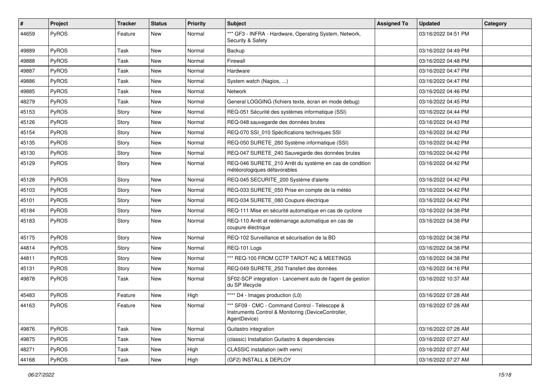| #     | Project | Tracker | <b>Status</b> | <b>Priority</b> | Subject                                                                                                               | <b>Assigned To</b> | <b>Updated</b>      | Category |
|-------|---------|---------|---------------|-----------------|-----------------------------------------------------------------------------------------------------------------------|--------------------|---------------------|----------|
| 44659 | PyROS   | Feature | New           | Normal          | *** GF3 - INFRA - Hardware, Operating System, Network,<br>Security & Safety                                           |                    | 03/16/2022 04:51 PM |          |
| 49889 | PyROS   | Task    | <b>New</b>    | Normal          | Backup                                                                                                                |                    | 03/16/2022 04:49 PM |          |
| 49888 | PyROS   | Task    | New           | Normal          | Firewall                                                                                                              |                    | 03/16/2022 04:48 PM |          |
| 49887 | PyROS   | Task    | <b>New</b>    | Normal          | Hardware                                                                                                              |                    | 03/16/2022 04:47 PM |          |
| 49886 | PyROS   | Task    | New           | Normal          | System watch (Nagios, )                                                                                               |                    | 03/16/2022 04:47 PM |          |
| 49885 | PyROS   | Task    | New           | Normal          | Network                                                                                                               |                    | 03/16/2022 04:46 PM |          |
| 48279 | PyROS   | Task    | New           | Normal          | General LOGGING (fichiers texte, écran en mode debug)                                                                 |                    | 03/16/2022 04:45 PM |          |
| 45153 | PyROS   | Story   | New           | Normal          | REQ-051 Sécurité des systèmes informatique (SSI)                                                                      |                    | 03/16/2022 04:44 PM |          |
| 45126 | PyROS   | Story   | New           | Normal          | REQ-048 sauvegarde des données brutes                                                                                 |                    | 03/16/2022 04:43 PM |          |
| 45154 | PyROS   | Story   | New           | Normal          | REQ-070 SSI_010 Spécifications techniques SSI                                                                         |                    | 03/16/2022 04:42 PM |          |
| 45135 | PyROS   | Story   | New           | Normal          | REQ-050 SURETE_260 Système informatique (SSI)                                                                         |                    | 03/16/2022 04:42 PM |          |
| 45130 | PyROS   | Story   | New           | Normal          | REQ-047 SURETE 240 Sauvegarde des données brutes                                                                      |                    | 03/16/2022 04:42 PM |          |
| 45129 | PyROS   | Story   | New           | Normal          | REQ-046 SURETE_210 Arrêt du système en cas de condition<br>météorologiques défavorables                               |                    | 03/16/2022 04:42 PM |          |
| 45128 | PyROS   | Story   | New           | Normal          | REQ-045 SECURITE_200 Système d'alerte                                                                                 |                    | 03/16/2022 04:42 PM |          |
| 45103 | PyROS   | Story   | New           | Normal          | REQ-033 SURETE 050 Prise en compte de la météo                                                                        |                    | 03/16/2022 04:42 PM |          |
| 45101 | PyROS   | Story   | <b>New</b>    | Normal          | REQ-034 SURETE_080 Coupure électrique                                                                                 |                    | 03/16/2022 04:42 PM |          |
| 45184 | PyROS   | Story   | New           | Normal          | REQ-111 Mise en sécurité automatique en cas de cyclone                                                                |                    | 03/16/2022 04:38 PM |          |
| 45183 | PyROS   | Story   | New           | Normal          | REQ-110 Arrêt et redémarrage automatique en cas de<br>coupure électrique                                              |                    | 03/16/2022 04:38 PM |          |
| 45175 | PyROS   | Story   | <b>New</b>    | Normal          | REQ-102 Surveillance et sécurisation de la BD                                                                         |                    | 03/16/2022 04:38 PM |          |
| 44814 | PyROS   | Story   | New           | Normal          | REQ-101 Logs                                                                                                          |                    | 03/16/2022 04:38 PM |          |
| 44811 | PyROS   | Story   | New           | Normal          | *** REQ-100 FROM CCTP TAROT-NC & MEETINGS                                                                             |                    | 03/16/2022 04:38 PM |          |
| 45131 | PyROS   | Story   | New           | Normal          | REQ-049 SURETE_250 Transfert des données                                                                              |                    | 03/16/2022 04:16 PM |          |
| 49878 | PyROS   | Task    | New           | Normal          | SF02-SCP integration - Lancement auto de l'agent de gestion<br>du SP lifecycle                                        |                    | 03/16/2022 10:37 AM |          |
| 45483 | PyROS   | Feature | <b>New</b>    | High            | **** D4 - Images production (L0)                                                                                      |                    | 03/16/2022 07:28 AM |          |
| 44163 | PyROS   | Feature | New           | Normal          | *** SF09 - CMC - Command Control - Telescope &<br>Instruments Control & Monitoring (DeviceController,<br>AgentDevice) |                    | 03/16/2022 07:28 AM |          |
| 49876 | PyROS   | Task    | New           | Normal          | Guitastro integration                                                                                                 |                    | 03/16/2022 07:28 AM |          |
| 49875 | PyROS   | Task    | New           | Normal          | (classic) Installation Guitastro & dependencies                                                                       |                    | 03/16/2022 07:27 AM |          |
| 48271 | PyROS   | Task    | New           | High            | CLASSIC installation (with venv)                                                                                      |                    | 03/16/2022 07:27 AM |          |
| 44168 | PyROS   | Task    | New           | High            | (GF2) INSTALL & DEPLOY                                                                                                |                    | 03/16/2022 07:27 AM |          |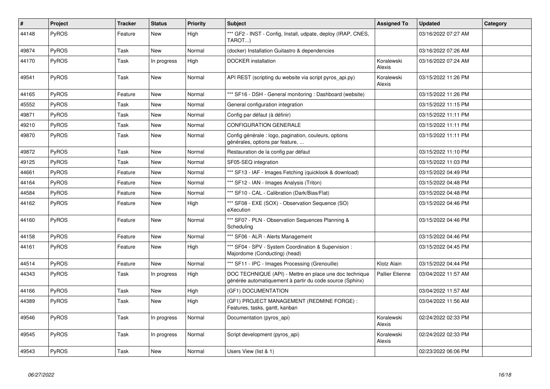| $\vert$ # | <b>Project</b> | Tracker | <b>Status</b> | <b>Priority</b> | <b>Subject</b>                                                                                                      | <b>Assigned To</b>     | Updated             | Category |
|-----------|----------------|---------|---------------|-----------------|---------------------------------------------------------------------------------------------------------------------|------------------------|---------------------|----------|
| 44148     | PyROS          | Feature | <b>New</b>    | High            | *** GF2 - INST - Config, Install, udpate, deploy (IRAP, CNES,<br>TAROT)                                             |                        | 03/16/2022 07:27 AM |          |
| 49874     | PyROS          | Task    | <b>New</b>    | Normal          | (docker) Installation Guitastro & dependencies                                                                      |                        | 03/16/2022 07:26 AM |          |
| 44170     | <b>PyROS</b>   | Task    | In progress   | High            | <b>DOCKER</b> installation                                                                                          | Koralewski<br>Alexis   | 03/16/2022 07:24 AM |          |
| 49541     | PyROS          | Task    | New           | Normal          | API REST (scripting du website via script pyros_api.py)                                                             | Koralewski<br>Alexis   | 03/15/2022 11:26 PM |          |
| 44165     | PyROS          | Feature | <b>New</b>    | Normal          | *** SF16 - DSH - General monitoring: Dashboard (website)                                                            |                        | 03/15/2022 11:26 PM |          |
| 45552     | PyROS          | Task    | <b>New</b>    | Normal          | General configuration integration                                                                                   |                        | 03/15/2022 11:15 PM |          |
| 49871     | PyROS          | Task    | <b>New</b>    | Normal          | Config par défaut (à définir)                                                                                       |                        | 03/15/2022 11:11 PM |          |
| 49210     | PyROS          | Task    | <b>New</b>    | Normal          | <b>CONFIGURATION GENERALE</b>                                                                                       |                        | 03/15/2022 11:11 PM |          |
| 49870     | PyROS          | Task    | <b>New</b>    | Normal          | Config générale : logo, pagination, couleurs, options<br>générales, options par feature,                            |                        | 03/15/2022 11:11 PM |          |
| 49872     | PyROS          | Task    | New           | Normal          | Restauration de la config par défaut                                                                                |                        | 03/15/2022 11:10 PM |          |
| 49125     | PyROS          | Task    | <b>New</b>    | Normal          | SF05-SEQ integration                                                                                                |                        | 03/15/2022 11:03 PM |          |
| 44661     | PyROS          | Feature | New           | Normal          | *** SF13 - IAF - Images Fetching (quicklook & download)                                                             |                        | 03/15/2022 04:49 PM |          |
| 44164     | PyROS          | Feature | <b>New</b>    | Normal          | *** SF12 - IAN - Images Analysis (Triton)                                                                           |                        | 03/15/2022 04:48 PM |          |
| 44584     | PyROS          | Feature | <b>New</b>    | Normal          | *** SF10 - CAL - Calibration (Dark/Bias/Flat)                                                                       |                        | 03/15/2022 04:48 PM |          |
| 44162     | PyROS          | Feature | <b>New</b>    | High            | *** SF08 - EXE (SOX) - Observation Sequence (SO)<br>eXecution                                                       |                        | 03/15/2022 04:46 PM |          |
| 44160     | <b>PyROS</b>   | Feature | <b>New</b>    | Normal          | *** SF07 - PLN - Observation Sequences Planning &<br>Scheduling                                                     |                        | 03/15/2022 04:46 PM |          |
| 44158     | PyROS          | Feature | <b>New</b>    | Normal          | *** SF06 - ALR - Alerts Management                                                                                  |                        | 03/15/2022 04:46 PM |          |
| 44161     | PyROS          | Feature | <b>New</b>    | High            | *** SF04 - SPV - System Coordination & Supervision :<br>Majordome (Conducting) (head)                               |                        | 03/15/2022 04:45 PM |          |
| 44514     | PyROS          | Feature | <b>New</b>    | Normal          | *** SF11 - IPC - Images Processing (Grenouille)                                                                     | Klotz Alain            | 03/15/2022 04:44 PM |          |
| 44343     | PyROS          | Task    | In progress   | High            | DOC TECHNIQUE (API) - Mettre en place une doc technique<br>générée automatiquement à partir du code source (Sphinx) | <b>Pallier Etienne</b> | 03/04/2022 11:57 AM |          |
| 44166     | <b>PyROS</b>   | Task    | New           | High            | (GF1) DOCUMENTATION                                                                                                 |                        | 03/04/2022 11:57 AM |          |
| 44389     | <b>PyROS</b>   | Task    | <b>New</b>    | High            | (GF1) PROJECT MANAGEMENT (REDMINE FORGE) :<br>Features, tasks, gantt, kanban                                        |                        | 03/04/2022 11:56 AM |          |
| 49546     | <b>PyROS</b>   | Task    | In progress   | Normal          | Documentation (pyros api)                                                                                           | Koralewski<br>Alexis   | 02/24/2022 02:33 PM |          |
| 49545     | PyROS          | Task    | In progress   | Normal          | Script development (pyros api)                                                                                      | Koralewski<br>Alexis   | 02/24/2022 02:33 PM |          |
| 49543     | PyROS          | Task    | <b>New</b>    | Normal          | Users View (list & 1)                                                                                               |                        | 02/23/2022 06:06 PM |          |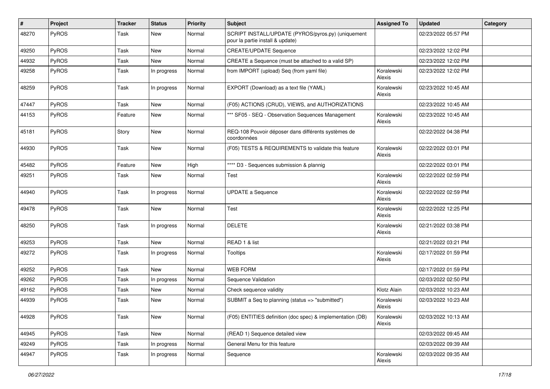| $\vert$ # | Project      | <b>Tracker</b> | <b>Status</b> | <b>Priority</b> | <b>Subject</b>                                                                         | <b>Assigned To</b>   | <b>Updated</b>      | Category |
|-----------|--------------|----------------|---------------|-----------------|----------------------------------------------------------------------------------------|----------------------|---------------------|----------|
| 48270     | PyROS        | Task           | New           | Normal          | SCRIPT INSTALL/UPDATE (PYROS/pyros.py) (uniquement<br>pour la partie install & update) |                      | 02/23/2022 05:57 PM |          |
| 49250     | PyROS        | Task           | New           | Normal          | <b>CREATE/UPDATE Sequence</b>                                                          |                      | 02/23/2022 12:02 PM |          |
| 44932     | PyROS        | Task           | <b>New</b>    | Normal          | CREATE a Sequence (must be attached to a valid SP)                                     |                      | 02/23/2022 12:02 PM |          |
| 49258     | PyROS        | Task           | In progress   | Normal          | from IMPORT (upload) Seq (from yaml file)                                              | Koralewski<br>Alexis | 02/23/2022 12:02 PM |          |
| 48259     | PyROS        | Task           | In progress   | Normal          | EXPORT (Download) as a text file (YAML)                                                | Koralewski<br>Alexis | 02/23/2022 10:45 AM |          |
| 47447     | PyROS        | Task           | <b>New</b>    | Normal          | (F05) ACTIONS (CRUD), VIEWS, and AUTHORIZATIONS                                        |                      | 02/23/2022 10:45 AM |          |
| 44153     | PyROS        | Feature        | New           | Normal          | *** SF05 - SEQ - Observation Sequences Management                                      | Koralewski<br>Alexis | 02/23/2022 10:45 AM |          |
| 45181     | PyROS        | Story          | <b>New</b>    | Normal          | REQ-108 Pouvoir déposer dans différents systèmes de<br>coordonnées                     |                      | 02/22/2022 04:38 PM |          |
| 44930     | PyROS        | Task           | New           | Normal          | (F05) TESTS & REQUIREMENTS to validate this feature                                    | Koralewski<br>Alexis | 02/22/2022 03:01 PM |          |
| 45482     | PyROS        | Feature        | New           | High            | **** D3 - Sequences submission & plannig                                               |                      | 02/22/2022 03:01 PM |          |
| 49251     | PyROS        | Task           | <b>New</b>    | Normal          | Test                                                                                   | Koralewski<br>Alexis | 02/22/2022 02:59 PM |          |
| 44940     | PyROS        | Task           | In progress   | Normal          | <b>UPDATE a Sequence</b>                                                               | Koralewski<br>Alexis | 02/22/2022 02:59 PM |          |
| 49478     | PyROS        | Task           | New           | Normal          | Test                                                                                   | Koralewski<br>Alexis | 02/22/2022 12:25 PM |          |
| 48250     | PyROS        | Task           | In progress   | Normal          | <b>DELETE</b>                                                                          | Koralewski<br>Alexis | 02/21/2022 03:38 PM |          |
| 49253     | PyROS        | Task           | New           | Normal          | READ 1 & list                                                                          |                      | 02/21/2022 03:21 PM |          |
| 49272     | PyROS        | Task           | In progress   | Normal          | <b>Tooltips</b>                                                                        | Koralewski<br>Alexis | 02/17/2022 01:59 PM |          |
| 49252     | PyROS        | Task           | New           | Normal          | <b>WEB FORM</b>                                                                        |                      | 02/17/2022 01:59 PM |          |
| 49262     | PyROS        | Task           | In progress   | Normal          | Sequence Validation                                                                    |                      | 02/03/2022 02:50 PM |          |
| 49162     | <b>PyROS</b> | Task           | New           | Normal          | Check sequence validity                                                                | Klotz Alain          | 02/03/2022 10:23 AM |          |
| 44939     | PyROS        | Task           | New           | Normal          | SUBMIT a Seq to planning (status => "submitted")                                       | Koralewski<br>Alexis | 02/03/2022 10:23 AM |          |
| 44928     | PyROS        | Task           | New           | Normal          | (F05) ENTITIES definition (doc spec) & implementation (DB)                             | Koralewski<br>Alexis | 02/03/2022 10:13 AM |          |
| 44945     | PyROS        | Task           | New           | Normal          | (READ 1) Sequence detailed view                                                        |                      | 02/03/2022 09:45 AM |          |
| 49249     | PyROS        | Task           | In progress   | Normal          | General Menu for this feature                                                          |                      | 02/03/2022 09:39 AM |          |
| 44947     | PyROS        | Task           | In progress   | Normal          | Sequence                                                                               | Koralewski<br>Alexis | 02/03/2022 09:35 AM |          |